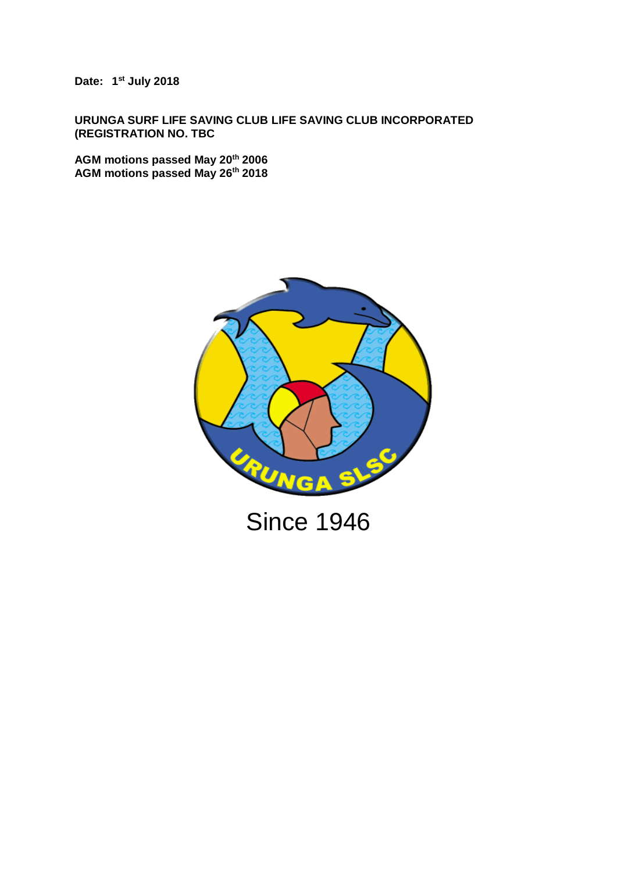**Date: 1 st July 2018**

**URUNGA SURF LIFE SAVING CLUB LIFE SAVING CLUB INCORPORATED (REGISTRATION NO. TBC**

**AGM motions passed May 20th 2006 AGM motions passed May 26th 2018**

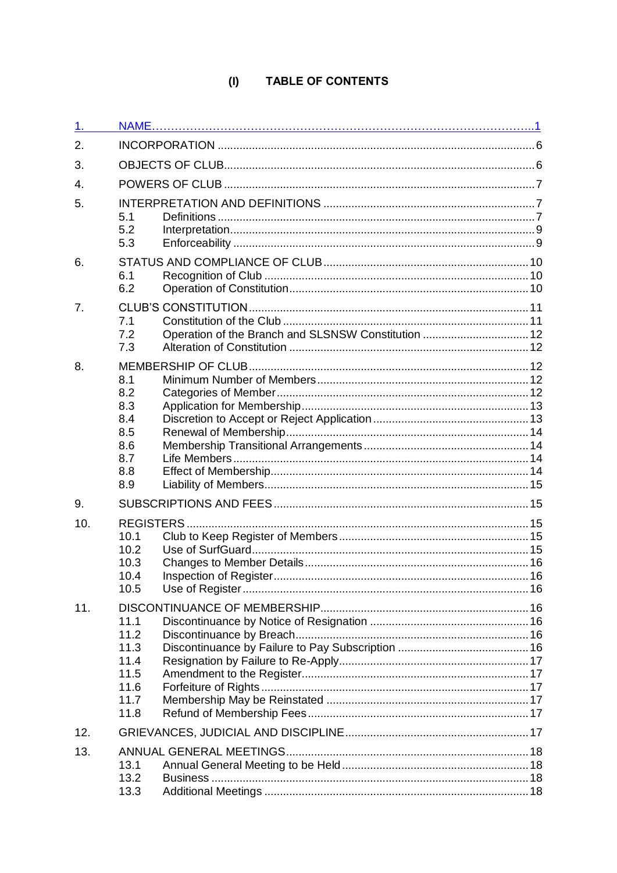## (I) TABLE OF CONTENTS

| 1.  |                                                              |                                                     |  |  |  |  |
|-----|--------------------------------------------------------------|-----------------------------------------------------|--|--|--|--|
| 2.  |                                                              |                                                     |  |  |  |  |
| 3.  |                                                              |                                                     |  |  |  |  |
| 4.  |                                                              |                                                     |  |  |  |  |
| 5.  | 5.1<br>5.2<br>5.3                                            |                                                     |  |  |  |  |
| 6.  | 6.1<br>6.2                                                   |                                                     |  |  |  |  |
| 7.  | 7.1<br>7.2<br>7.3                                            | Operation of the Branch and SLSNSW Constitution  12 |  |  |  |  |
| 8.  | 8.1<br>8.2<br>8.3<br>8.4<br>8.5<br>8.6<br>8.7<br>8.8<br>8.9  |                                                     |  |  |  |  |
| 9.  |                                                              |                                                     |  |  |  |  |
| 10. | 10.1<br>10.2<br>10.3<br>10.4<br>10.5                         |                                                     |  |  |  |  |
| 11. | 11.1<br>11.2<br>11.3<br>11.4<br>11.5<br>11.6<br>11.7<br>11.8 |                                                     |  |  |  |  |
| 12. |                                                              |                                                     |  |  |  |  |
| 13. | 13.1<br>13.2<br>13.3                                         |                                                     |  |  |  |  |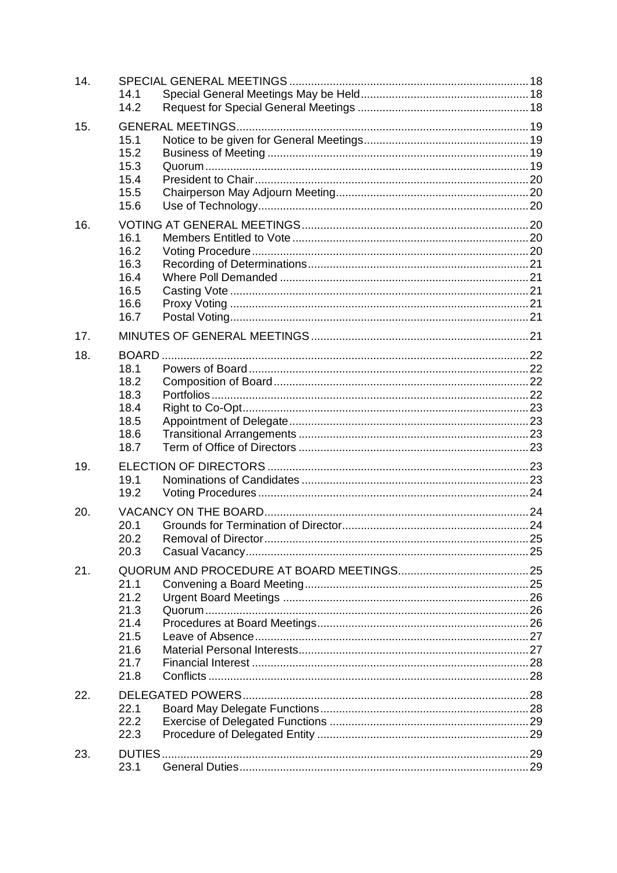| 14. | 14.1<br>14.2                                                 |  |
|-----|--------------------------------------------------------------|--|
| 15. | 15.1<br>15.2<br>15.3<br>15.4<br>15.5<br>15.6                 |  |
| 16. | 16.1<br>16.2<br>16.3<br>16.4<br>16.5<br>16.6<br>16.7         |  |
| 17. |                                                              |  |
| 18. | 18.1<br>18.2<br>18.3<br>18.4<br>18.5<br>18.6<br>18.7         |  |
| 19. | 19.1<br>19.2                                                 |  |
| 20. | 20.1<br>20.2<br>20.3                                         |  |
| 21. | 21.1<br>21.2<br>21.3<br>21.4<br>21.5<br>21.6<br>21.7<br>21.8 |  |
| 22. | 22.1<br>22.2<br>22.3                                         |  |
| 23. | DUTIES.<br>23.1                                              |  |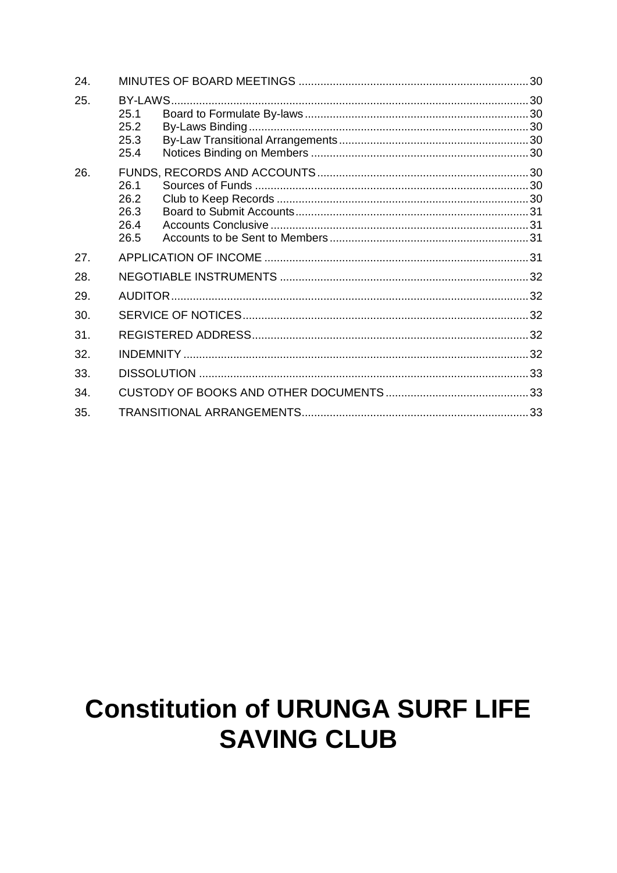| 24. |              |  |  |  |
|-----|--------------|--|--|--|
| 25. | BY-LAWS.     |  |  |  |
|     | 25.1         |  |  |  |
|     | 25.2         |  |  |  |
|     | 25.3<br>25.4 |  |  |  |
|     |              |  |  |  |
| 26. |              |  |  |  |
|     | 26.1         |  |  |  |
|     | 26.2         |  |  |  |
|     | 26.3<br>26.4 |  |  |  |
|     | 26.5         |  |  |  |
| 27. |              |  |  |  |
| 28. |              |  |  |  |
| 29. |              |  |  |  |
| 30. |              |  |  |  |
| 31. |              |  |  |  |
| 32. |              |  |  |  |
| 33. |              |  |  |  |
| 34. |              |  |  |  |
| 35. |              |  |  |  |

# **Constitution of URUNGA SURF LIFE SAVING CLUB**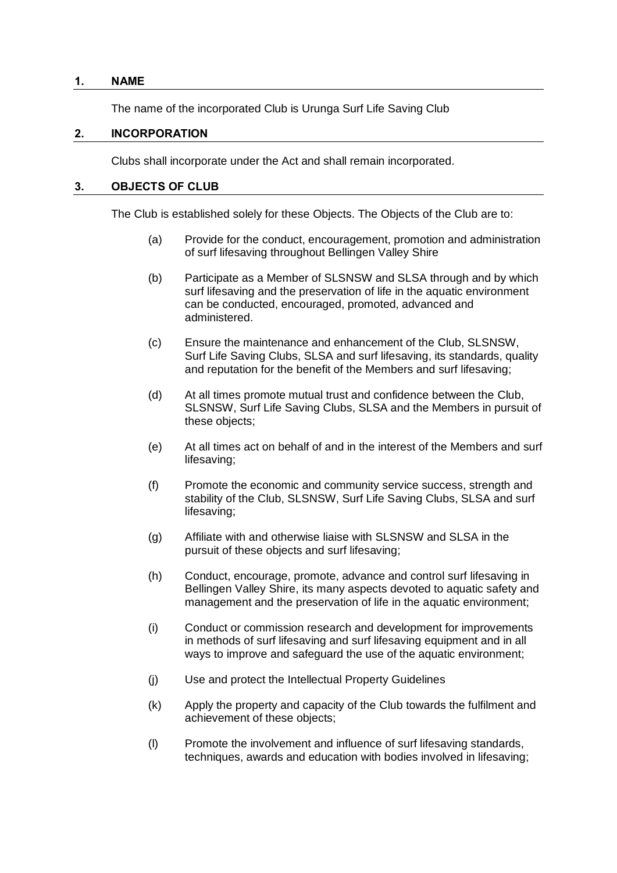#### <span id="page-5-0"></span>**1. NAME**

The name of the incorporated Club is Urunga Surf Life Saving Club

#### **2. INCORPORATION**

Clubs shall incorporate under the Act and shall remain incorporated.

#### <span id="page-5-1"></span>**3. OBJECTS OF CLUB**

The Club is established solely for these Objects. The Objects of the Club are to:

- (a) Provide for the conduct, encouragement, promotion and administration of surf lifesaving throughout Bellingen Valley Shire
- (b) Participate as a Member of SLSNSW and SLSA through and by which surf lifesaving and the preservation of life in the aquatic environment can be conducted, encouraged, promoted, advanced and administered.
- (c) Ensure the maintenance and enhancement of the Club, SLSNSW, Surf Life Saving Clubs, SLSA and surf lifesaving, its standards, quality and reputation for the benefit of the Members and surf lifesaving;
- (d) At all times promote mutual trust and confidence between the Club, SLSNSW, Surf Life Saving Clubs, SLSA and the Members in pursuit of these objects;
- (e) At all times act on behalf of and in the interest of the Members and surf lifesaving;
- (f) Promote the economic and community service success, strength and stability of the Club, SLSNSW, Surf Life Saving Clubs, SLSA and surf lifesaving;
- (g) Affiliate with and otherwise liaise with SLSNSW and SLSA in the pursuit of these objects and surf lifesaving;
- (h) Conduct, encourage, promote, advance and control surf lifesaving in Bellingen Valley Shire, its many aspects devoted to aquatic safety and management and the preservation of life in the aquatic environment;
- (i) Conduct or commission research and development for improvements in methods of surf lifesaving and surf lifesaving equipment and in all ways to improve and safeguard the use of the aquatic environment;
- (j) Use and protect the Intellectual Property Guidelines
- (k) Apply the property and capacity of the Club towards the fulfilment and achievement of these objects;
- (l) Promote the involvement and influence of surf lifesaving standards, techniques, awards and education with bodies involved in lifesaving;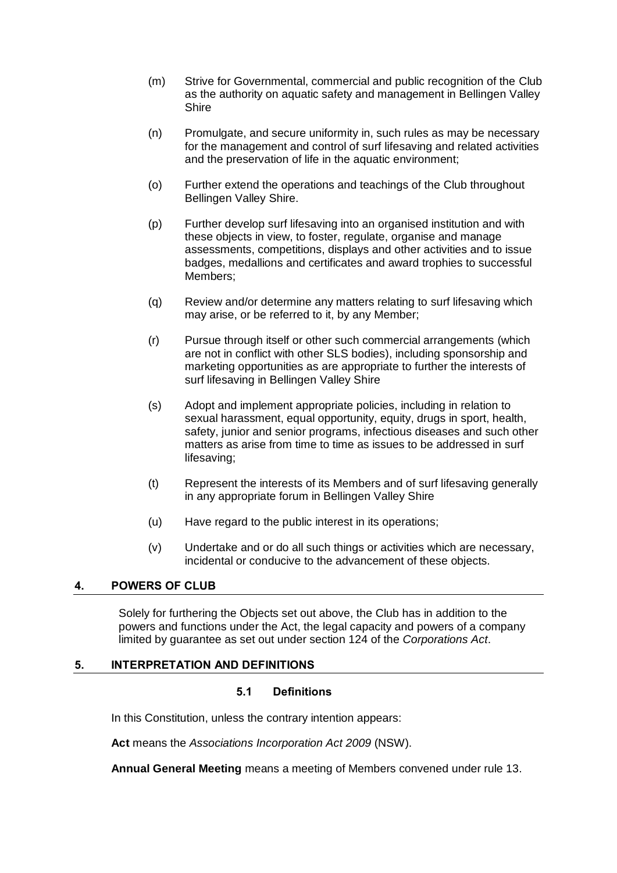- (m) Strive for Governmental, commercial and public recognition of the Club as the authority on aquatic safety and management in Bellingen Valley **Shire**
- (n) Promulgate, and secure uniformity in, such rules as may be necessary for the management and control of surf lifesaving and related activities and the preservation of life in the aquatic environment;
- (o) Further extend the operations and teachings of the Club throughout Bellingen Valley Shire.
- (p) Further develop surf lifesaving into an organised institution and with these objects in view, to foster, regulate, organise and manage assessments, competitions, displays and other activities and to issue badges, medallions and certificates and award trophies to successful Members;
- (q) Review and/or determine any matters relating to surf lifesaving which may arise, or be referred to it, by any Member;
- (r) Pursue through itself or other such commercial arrangements (which are not in conflict with other SLS bodies), including sponsorship and marketing opportunities as are appropriate to further the interests of surf lifesaving in Bellingen Valley Shire
- (s) Adopt and implement appropriate policies, including in relation to sexual harassment, equal opportunity, equity, drugs in sport, health, safety, junior and senior programs, infectious diseases and such other matters as arise from time to time as issues to be addressed in surf lifesaving;
- (t) Represent the interests of its Members and of surf lifesaving generally in any appropriate forum in Bellingen Valley Shire
- (u) Have regard to the public interest in its operations;
- (v) Undertake and or do all such things or activities which are necessary, incidental or conducive to the advancement of these objects.

## <span id="page-6-0"></span>**4. POWERS OF CLUB**

Solely for furthering the Objects set out above, the Club has in addition to the powers and functions under the Act, the legal capacity and powers of a company limited by guarantee as set out under section 124 of the *Corporations Act*.

#### <span id="page-6-2"></span><span id="page-6-1"></span>**5. INTERPRETATION AND DEFINITIONS**

#### **5.1 Definitions**

In this Constitution, unless the contrary intention appears:

**Act** means the *Associations Incorporation Act 2009* (NSW).

**Annual General Meeting** means a meeting of Members convened under rule [13.](#page-17-0)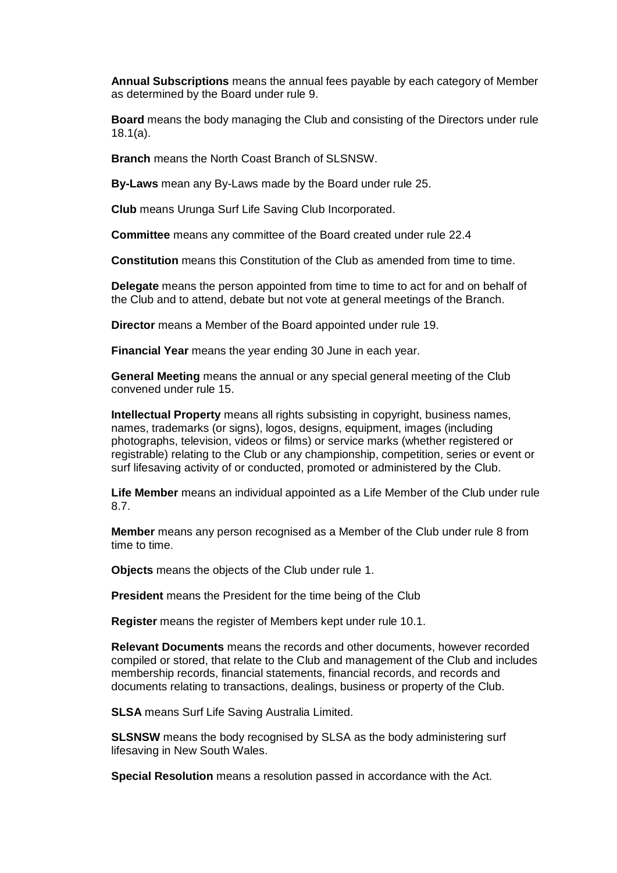**Annual Subscriptions** means the annual fees payable by each category of Member as determined by the Board under rule [9.](#page-14-1)

**Board** means the body managing the Club and consisting of the Directors under rule [18.1\(a\).](#page-21-4)

**Branch** means the North Coast Branch of SLSNSW.

**By-Laws** mean any By-Laws made by the Board under rule [25.](#page-29-1)

**Club** means Urunga Surf Life Saving Club Incorporated.

**Committee** means any committee of the Board created under rule 22.4

**Constitution** means this Constitution of the Club as amended from time to time.

**Delegate** means the person appointed from time to time to act for and on behalf of the Club and to attend, debate but not vote at general meetings of the Branch.

**Director** means a Member of the Board appointed under rule [19.](#page-22-4)

**Financial Year** means the year ending 30 June in each year.

**General Meeting** means the annual or any special general meeting of the Club convened under rule [15.](#page-18-0)

**Intellectual Property** means all rights subsisting in copyright, business names, names, trademarks (or signs), logos, designs, equipment, images (including photographs, television, videos or films) or service marks (whether registered or registrable) relating to the Club or any championship, competition, series or event or surf lifesaving activity of or conducted, promoted or administered by the Club.

**Life Member** means an individual appointed as a Life Member of the Club under rule [8.7.](#page-13-2)

**Member** means any person recognised as a Member of the Club under rule [8](#page-11-2) from time to time.

**Objects** means the objects of the Club under rule [1.](#page-5-0)

**President** means the President for the time being of the Club

**Register** means the register of Members kept under rule [10.1.](#page-14-3)

**Relevant Documents** means the records and other documents, however recorded compiled or stored, that relate to the Club and management of the Club and includes membership records, financial statements, financial records, and records and documents relating to transactions, dealings, business or property of the Club.

**SLSA** means Surf Life Saving Australia Limited.

**SLSNSW** means the body recognised by SLSA as the body administering surf lifesaving in New South Wales.

**Special Resolution** means a resolution passed in accordance with the Act.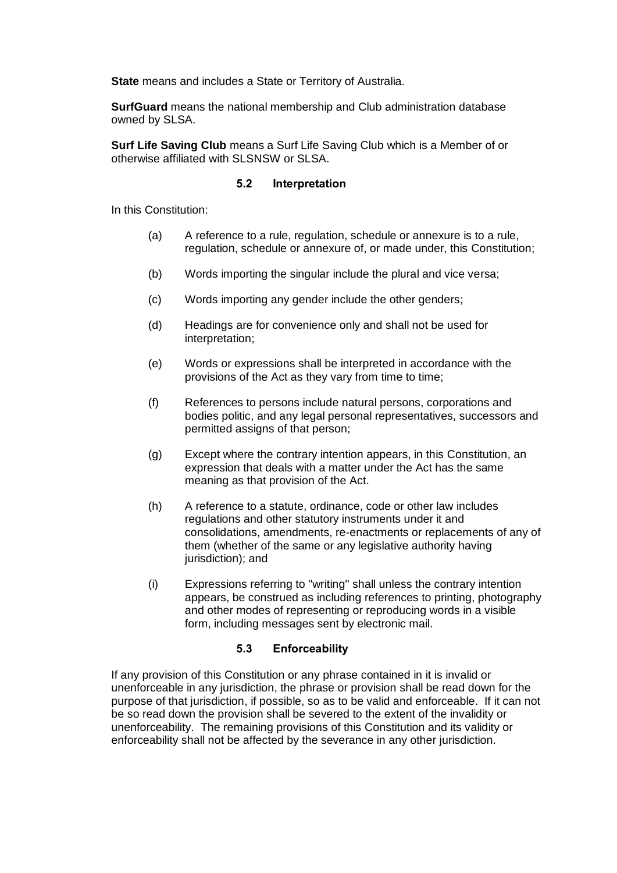**State** means and includes a State or Territory of Australia.

**SurfGuard** means the national membership and Club administration database owned by SLSA.

**Surf Life Saving Club** means a Surf Life Saving Club which is a Member of or otherwise affiliated with SLSNSW or SLSA.

#### **5.2 Interpretation**

<span id="page-8-0"></span>In this Constitution:

- (a) A reference to a rule, regulation, schedule or annexure is to a rule, regulation, schedule or annexure of, or made under, this Constitution;
- (b) Words importing the singular include the plural and vice versa;
- (c) Words importing any gender include the other genders;
- (d) Headings are for convenience only and shall not be used for interpretation;
- (e) Words or expressions shall be interpreted in accordance with the provisions of the Act as they vary from time to time;
- (f) References to persons include natural persons, corporations and bodies politic, and any legal personal representatives, successors and permitted assigns of that person;
- (g) Except where the contrary intention appears, in this Constitution, an expression that deals with a matter under the Act has the same meaning as that provision of the Act.
- (h) A reference to a statute, ordinance, code or other law includes regulations and other statutory instruments under it and consolidations, amendments, re-enactments or replacements of any of them (whether of the same or any legislative authority having jurisdiction); and
- (i) Expressions referring to "writing" shall unless the contrary intention appears, be construed as including references to printing, photography and other modes of representing or reproducing words in a visible form, including messages sent by electronic mail.

## **5.3 Enforceability**

<span id="page-8-1"></span>If any provision of this Constitution or any phrase contained in it is invalid or unenforceable in any jurisdiction, the phrase or provision shall be read down for the purpose of that jurisdiction, if possible, so as to be valid and enforceable. If it can not be so read down the provision shall be severed to the extent of the invalidity or unenforceability. The remaining provisions of this Constitution and its validity or enforceability shall not be affected by the severance in any other jurisdiction.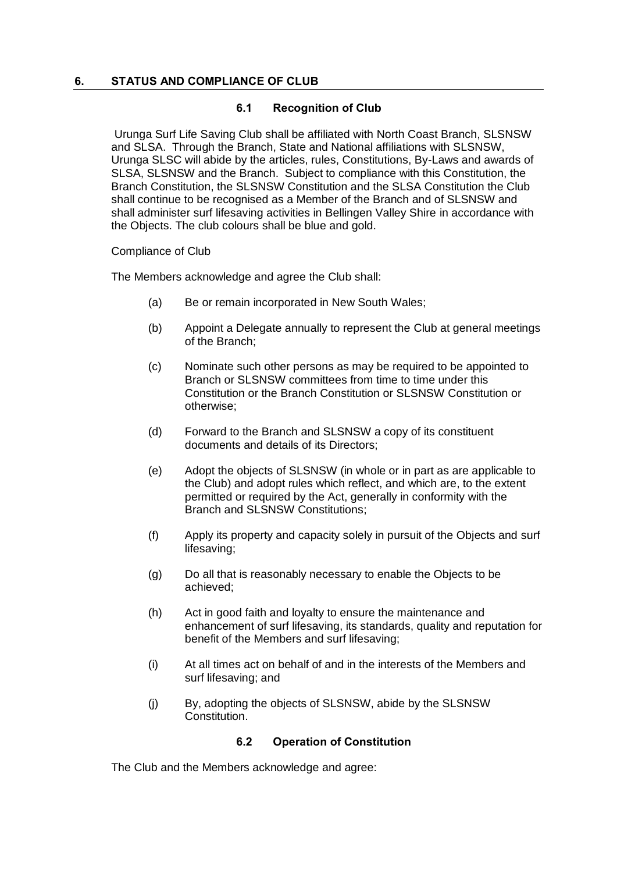#### <span id="page-9-1"></span><span id="page-9-0"></span>**6. STATUS AND COMPLIANCE OF CLUB**

#### **6.1 Recognition of Club**

Urunga Surf Life Saving Club shall be affiliated with North Coast Branch, SLSNSW and SLSA. Through the Branch, State and National affiliations with SLSNSW, Urunga SLSC will abide by the articles, rules, Constitutions, By-Laws and awards of SLSA, SLSNSW and the Branch. Subject to compliance with this Constitution, the Branch Constitution, the SLSNSW Constitution and the SLSA Constitution the Club shall continue to be recognised as a Member of the Branch and of SLSNSW and shall administer surf lifesaving activities in Bellingen Valley Shire in accordance with the Objects. The club colours shall be blue and gold.

Compliance of Club

The Members acknowledge and agree the Club shall:

- (a) Be or remain incorporated in New South Wales;
- (b) Appoint a Delegate annually to represent the Club at general meetings of the Branch;
- (c) Nominate such other persons as may be required to be appointed to Branch or SLSNSW committees from time to time under this Constitution or the Branch Constitution or SLSNSW Constitution or otherwise;
- (d) Forward to the Branch and SLSNSW a copy of its constituent documents and details of its Directors;
- (e) Adopt the objects of SLSNSW (in whole or in part as are applicable to the Club) and adopt rules which reflect, and which are, to the extent permitted or required by the Act, generally in conformity with the Branch and SLSNSW Constitutions;
- (f) Apply its property and capacity solely in pursuit of the Objects and surf lifesaving;
- (g) Do all that is reasonably necessary to enable the Objects to be achieved;
- (h) Act in good faith and loyalty to ensure the maintenance and enhancement of surf lifesaving, its standards, quality and reputation for benefit of the Members and surf lifesaving;
- (i) At all times act on behalf of and in the interests of the Members and surf lifesaving; and
- (j) By, adopting the objects of SLSNSW, abide by the SLSNSW Constitution.

## **6.2 Operation of Constitution**

<span id="page-9-2"></span>The Club and the Members acknowledge and agree: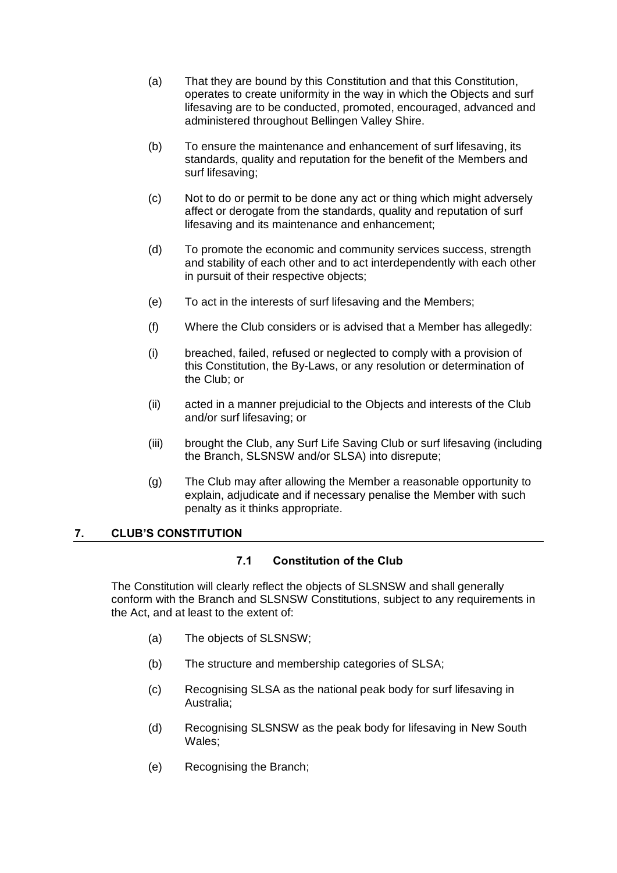- (a) That they are bound by this Constitution and that this Constitution, operates to create uniformity in the way in which the Objects and surf lifesaving are to be conducted, promoted, encouraged, advanced and administered throughout Bellingen Valley Shire.
- (b) To ensure the maintenance and enhancement of surf lifesaving, its standards, quality and reputation for the benefit of the Members and surf lifesaving;
- (c) Not to do or permit to be done any act or thing which might adversely affect or derogate from the standards, quality and reputation of surf lifesaving and its maintenance and enhancement;
- (d) To promote the economic and community services success, strength and stability of each other and to act interdependently with each other in pursuit of their respective objects;
- (e) To act in the interests of surf lifesaving and the Members;
- (f) Where the Club considers or is advised that a Member has allegedly:
- (i) breached, failed, refused or neglected to comply with a provision of this Constitution, the By-Laws, or any resolution or determination of the Club; or
- (ii) acted in a manner prejudicial to the Objects and interests of the Club and/or surf lifesaving; or
- (iii) brought the Club, any Surf Life Saving Club or surf lifesaving (including the Branch, SLSNSW and/or SLSA) into disrepute;
- (g) The Club may after allowing the Member a reasonable opportunity to explain, adjudicate and if necessary penalise the Member with such penalty as it thinks appropriate.

## <span id="page-10-1"></span><span id="page-10-0"></span>**7. CLUB'S CONSTITUTION**

## **7.1 Constitution of the Club**

The Constitution will clearly reflect the objects of SLSNSW and shall generally conform with the Branch and SLSNSW Constitutions, subject to any requirements in the Act, and at least to the extent of:

- (a) The objects of SLSNSW;
- (b) The structure and membership categories of SLSA;
- (c) Recognising SLSA as the national peak body for surf lifesaving in Australia;
- (d) Recognising SLSNSW as the peak body for lifesaving in New South Wales;
- (e) Recognising the Branch;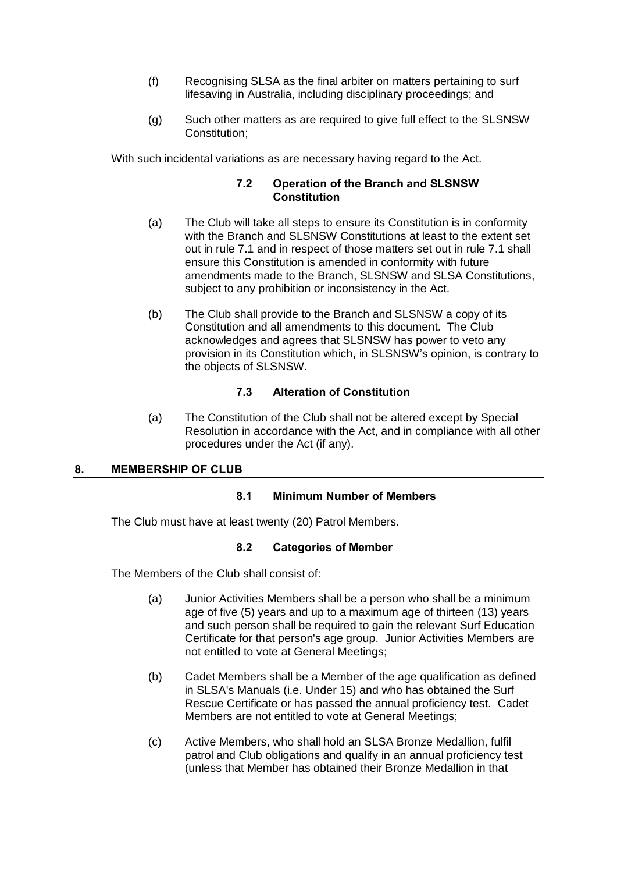- (f) Recognising SLSA as the final arbiter on matters pertaining to surf lifesaving in Australia, including disciplinary proceedings; and
- (g) Such other matters as are required to give full effect to the SLSNSW Constitution;

<span id="page-11-0"></span>With such incidental variations as are necessary having regard to the Act.

## **7.2 Operation of the Branch and SLSNSW Constitution**

- (a) The Club will take all steps to ensure its Constitution is in conformity with the Branch and SLSNSW Constitutions at least to the extent set out in rule [7.1](#page-10-1) and in respect of those matters set out in rule [7.1](#page-10-1) shall ensure this Constitution is amended in conformity with future amendments made to the Branch, SLSNSW and SLSA Constitutions, subject to any prohibition or inconsistency in the Act.
- (b) The Club shall provide to the Branch and SLSNSW a copy of its Constitution and all amendments to this document. The Club acknowledges and agrees that SLSNSW has power to veto any provision in its Constitution which, in SLSNSW's opinion, is contrary to the objects of SLSNSW.

## **7.3 Alteration of Constitution**

(a) The Constitution of the Club shall not be altered except by Special Resolution in accordance with the Act, and in compliance with all other procedures under the Act (if any).

## <span id="page-11-3"></span><span id="page-11-2"></span><span id="page-11-1"></span>**8. MEMBERSHIP OF CLUB**

## **8.1 Minimum Number of Members**

<span id="page-11-4"></span>The Club must have at least twenty (20) Patrol Members.

#### **8.2 Categories of Member**

The Members of the Club shall consist of:

- (a) Junior Activities Members shall be a person who shall be a minimum age of five (5) years and up to a maximum age of thirteen (13) years and such person shall be required to gain the relevant Surf Education Certificate for that person's age group. Junior Activities Members are not entitled to vote at General Meetings;
- (b) Cadet Members shall be a Member of the age qualification as defined in SLSA's Manuals (i.e. Under 15) and who has obtained the Surf Rescue Certificate or has passed the annual proficiency test. Cadet Members are not entitled to vote at General Meetings;
- (c) Active Members, who shall hold an SLSA Bronze Medallion, fulfil patrol and Club obligations and qualify in an annual proficiency test (unless that Member has obtained their Bronze Medallion in that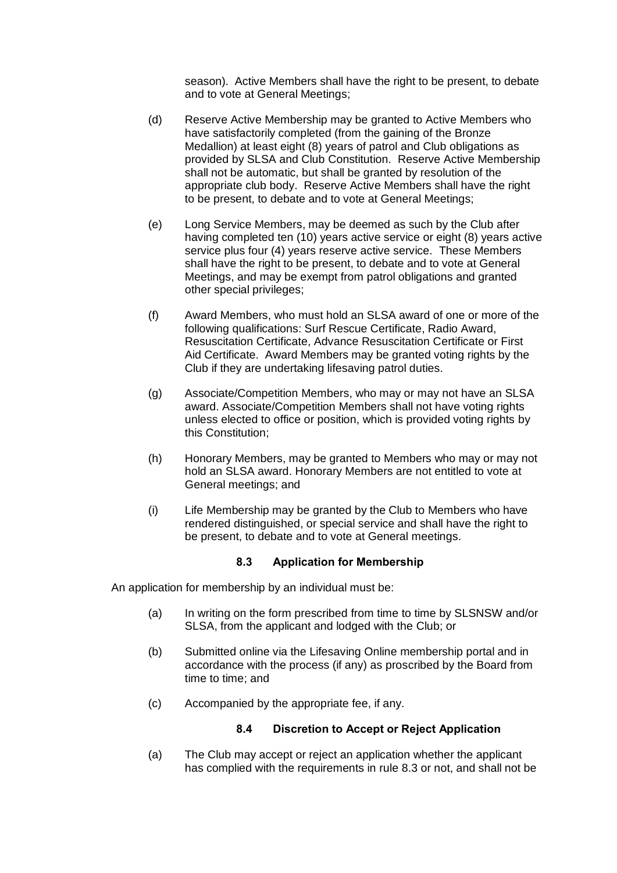season). Active Members shall have the right to be present, to debate and to vote at General Meetings;

- (d) Reserve Active Membership may be granted to Active Members who have satisfactorily completed (from the gaining of the Bronze Medallion) at least eight (8) years of patrol and Club obligations as provided by SLSA and Club Constitution. Reserve Active Membership shall not be automatic, but shall be granted by resolution of the appropriate club body. Reserve Active Members shall have the right to be present, to debate and to vote at General Meetings;
- (e) Long Service Members, may be deemed as such by the Club after having completed ten (10) years active service or eight (8) years active service plus four (4) years reserve active service. These Members shall have the right to be present, to debate and to vote at General Meetings, and may be exempt from patrol obligations and granted other special privileges;
- (f) Award Members, who must hold an SLSA award of one or more of the following qualifications: Surf Rescue Certificate, Radio Award, Resuscitation Certificate, Advance Resuscitation Certificate or First Aid Certificate. Award Members may be granted voting rights by the Club if they are undertaking lifesaving patrol duties.
- (g) Associate/Competition Members, who may or may not have an SLSA award. Associate/Competition Members shall not have voting rights unless elected to office or position, which is provided voting rights by this Constitution;
- (h) Honorary Members, may be granted to Members who may or may not hold an SLSA award. Honorary Members are not entitled to vote at General meetings; and
- (i) Life Membership may be granted by the Club to Members who have rendered distinguished, or special service and shall have the right to be present, to debate and to vote at General meetings.

## **8.3 Application for Membership**

<span id="page-12-0"></span>An application for membership by an individual must be:

- (a) In writing on the form prescribed from time to time by SLSNSW and/or SLSA, from the applicant and lodged with the Club; or
- (b) Submitted online via the Lifesaving Online membership portal and in accordance with the process (if any) as proscribed by the Board from time to time; and
- <span id="page-12-1"></span>(c) Accompanied by the appropriate fee, if any.

## **8.4 Discretion to Accept or Reject Application**

(a) The Club may accept or reject an application whether the applicant has complied with the requirements in rule [8.3](#page-12-0) or not, and shall not be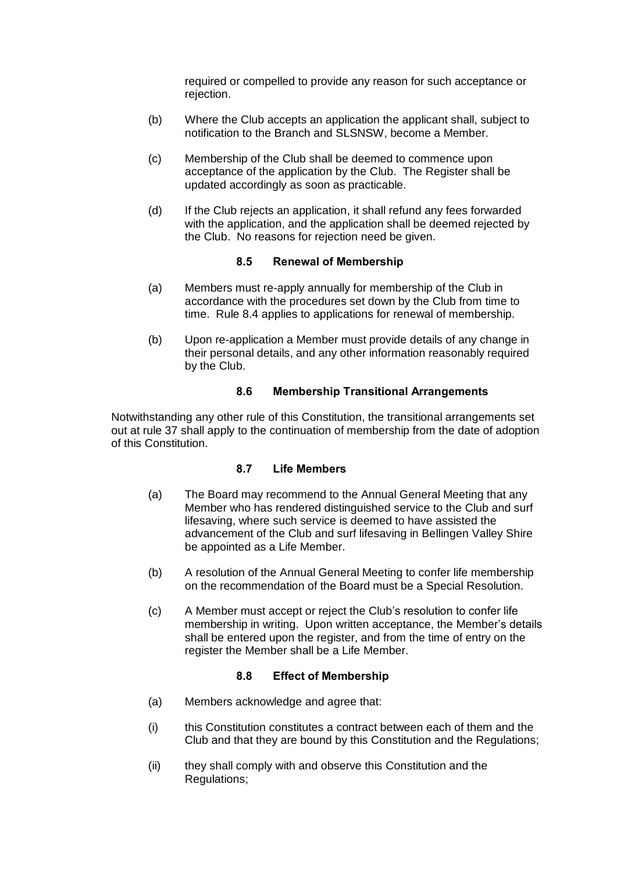required or compelled to provide any reason for such acceptance or rejection.

- (b) Where the Club accepts an application the applicant shall, subject to notification to the Branch and SLSNSW, become a Member.
- (c) Membership of the Club shall be deemed to commence upon acceptance of the application by the Club. The Register shall be updated accordingly as soon as practicable.
- (d) If the Club rejects an application, it shall refund any fees forwarded with the application, and the application shall be deemed rejected by the Club. No reasons for rejection need be given.

## **8.5 Renewal of Membership**

- <span id="page-13-0"></span>(a) Members must re-apply annually for membership of the Club in accordance with the procedures set down by the Club from time to time. Rule 8.4 applies to applications for renewal of membership.
- (b) Upon re-application a Member must provide details of any change in their personal details, and any other information reasonably required by the Club.

## **8.6 Membership Transitional Arrangements**

<span id="page-13-2"></span><span id="page-13-1"></span>Notwithstanding any other rule of this Constitution, the transitional arrangements set out at rule 37 shall apply to the continuation of membership from the date of adoption of this Constitution.

## **8.7 Life Members**

- (a) The Board may recommend to the Annual General Meeting that any Member who has rendered distinguished service to the Club and surf lifesaving, where such service is deemed to have assisted the advancement of the Club and surf lifesaving in Bellingen Valley Shire be appointed as a Life Member.
- (b) A resolution of the Annual General Meeting to confer life membership on the recommendation of the Board must be a Special Resolution.
- (c) A Member must accept or reject the Club's resolution to confer life membership in writing. Upon written acceptance, the Member's details shall be entered upon the register, and from the time of entry on the register the Member shall be a Life Member.

## **8.8 Effect of Membership**

- <span id="page-13-3"></span>(a) Members acknowledge and agree that:
- (i) this Constitution constitutes a contract between each of them and the Club and that they are bound by this Constitution and the Regulations;
- (ii) they shall comply with and observe this Constitution and the Regulations;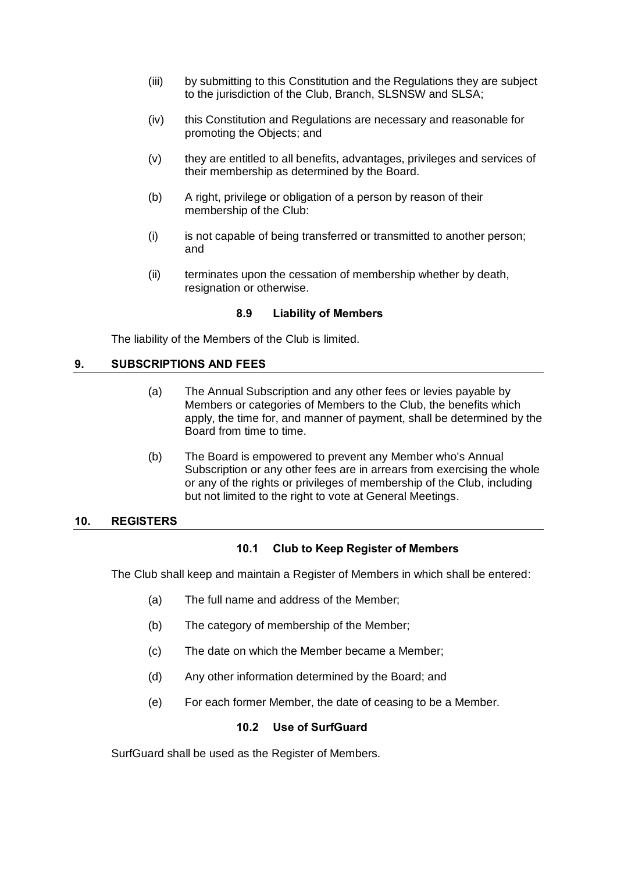- (iii) by submitting to this Constitution and the Regulations they are subject to the jurisdiction of the Club, Branch, SLSNSW and SLSA;
- (iv) this Constitution and Regulations are necessary and reasonable for promoting the Objects; and
- (v) they are entitled to all benefits, advantages, privileges and services of their membership as determined by the Board.
- (b) A right, privilege or obligation of a person by reason of their membership of the Club:
- (i) is not capable of being transferred or transmitted to another person; and
- (ii) terminates upon the cessation of membership whether by death, resignation or otherwise.

#### **8.9 Liability of Members**

<span id="page-14-0"></span>The liability of the Members of the Club is limited.

#### <span id="page-14-1"></span>**9. SUBSCRIPTIONS AND FEES**

- (a) The Annual Subscription and any other fees or levies payable by Members or categories of Members to the Club, the benefits which apply, the time for, and manner of payment, shall be determined by the Board from time to time.
- (b) The Board is empowered to prevent any Member who's Annual Subscription or any other fees are in arrears from exercising the whole or any of the rights or privileges of membership of the Club, including but not limited to the right to vote at General Meetings.

#### <span id="page-14-3"></span><span id="page-14-2"></span>**10. REGISTERS**

## **10.1 Club to Keep Register of Members**

The Club shall keep and maintain a Register of Members in which shall be entered:

- (a) The full name and address of the Member;
- (b) The category of membership of the Member;
- (c) The date on which the Member became a Member;
- (d) Any other information determined by the Board; and
- (e) For each former Member, the date of ceasing to be a Member.

#### **10.2 Use of SurfGuard**

<span id="page-14-5"></span><span id="page-14-4"></span>SurfGuard shall be used as the Register of Members.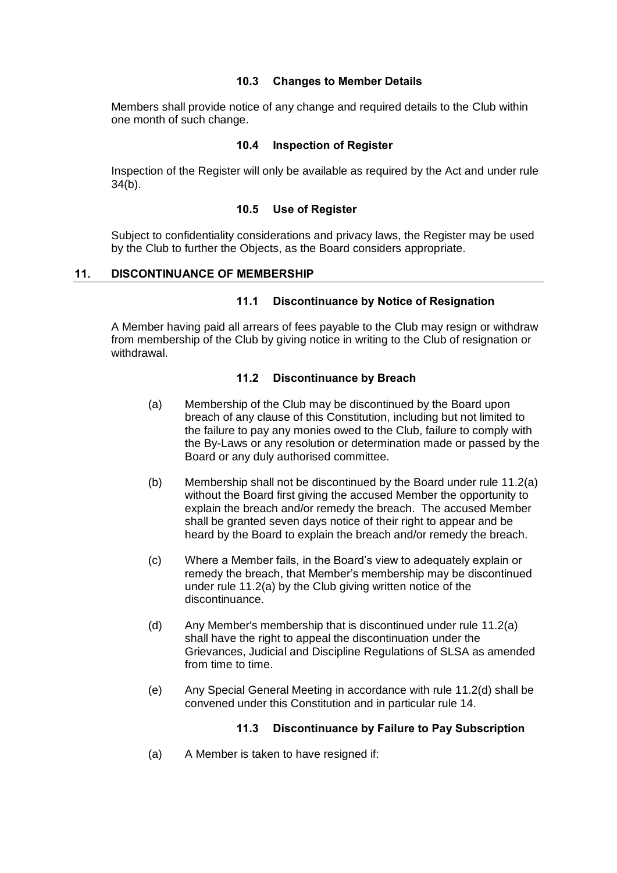#### **10.3 Changes to Member Details**

<span id="page-15-0"></span>Members shall provide notice of any change and required details to the Club within one month of such change.

#### **10.4 Inspection of Register**

<span id="page-15-1"></span>Inspection of the Register will only be available as required by the Act and under rule [34\(b\).](#page-32-3)

#### **10.5 Use of Register**

<span id="page-15-2"></span>Subject to confidentiality considerations and privacy laws, the Register may be used by the Club to further the Objects, as the Board considers appropriate.

#### <span id="page-15-4"></span><span id="page-15-3"></span>**11. DISCONTINUANCE OF MEMBERSHIP**

#### **11.1 Discontinuance by Notice of Resignation**

<span id="page-15-5"></span>A Member having paid all arrears of fees payable to the Club may resign or withdraw from membership of the Club by giving notice in writing to the Club of resignation or withdrawal.

#### **11.2 Discontinuance by Breach**

- <span id="page-15-7"></span>(a) Membership of the Club may be discontinued by the Board upon breach of any clause of this Constitution, including but not limited to the failure to pay any monies owed to the Club, failure to comply with the By-Laws or any resolution or determination made or passed by the Board or any duly authorised committee.
- (b) Membership shall not be discontinued by the Board under rule [11.2\(a\)](#page-15-7) without the Board first giving the accused Member the opportunity to explain the breach and/or remedy the breach. The accused Member shall be granted seven days notice of their right to appear and be heard by the Board to explain the breach and/or remedy the breach.
- (c) Where a Member fails, in the Board's view to adequately explain or remedy the breach, that Member's membership may be discontinued under rule [11.2\(a\)](#page-15-7) by the Club giving written notice of the discontinuance.
- <span id="page-15-8"></span>(d) Any Member's membership that is discontinued under rule [11.2\(a\)](#page-15-7) shall have the right to appeal the discontinuation under the Grievances, Judicial and Discipline Regulations of SLSA as amended from time to time.
- (e) Any Special General Meeting in accordance with rule [11.2\(d\)](#page-15-8) shall be convened under this Constitution and in particular rule 14.

## **11.3 Discontinuance by Failure to Pay Subscription**

<span id="page-15-6"></span>(a) A Member is taken to have resigned if: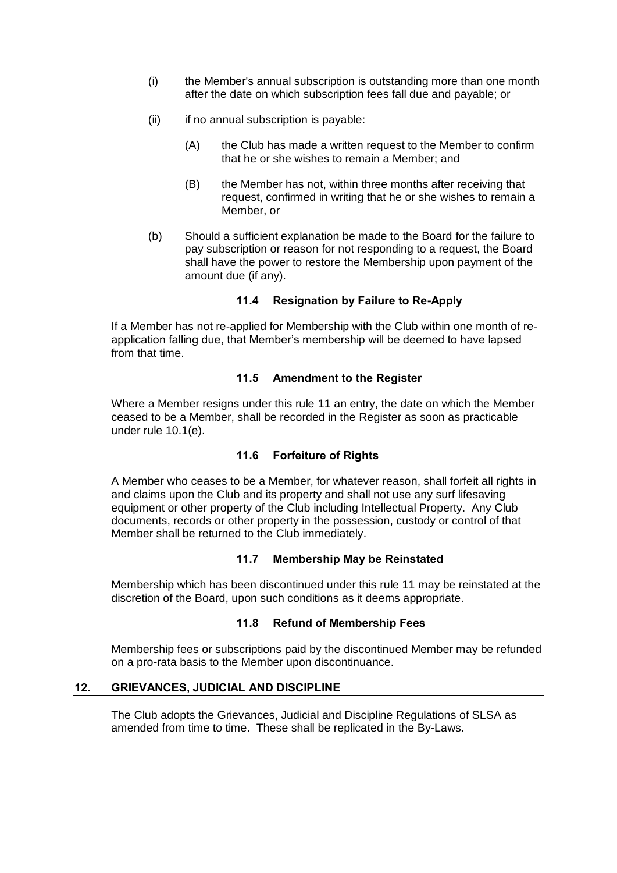- (i) the Member's annual subscription is outstanding more than one month after the date on which subscription fees fall due and payable; or
- (ii) if no annual subscription is payable:
	- (A) the Club has made a written request to the Member to confirm that he or she wishes to remain a Member; and
	- (B) the Member has not, within three months after receiving that request, confirmed in writing that he or she wishes to remain a Member, or
- (b) Should a sufficient explanation be made to the Board for the failure to pay subscription or reason for not responding to a request, the Board shall have the power to restore the Membership upon payment of the amount due (if any).

## **11.4 Resignation by Failure to Re-Apply**

<span id="page-16-0"></span>If a Member has not re-applied for Membership with the Club within one month of reapplication falling due, that Member's membership will be deemed to have lapsed from that time.

#### **11.5 Amendment to the Register**

<span id="page-16-1"></span>Where a Member resigns under this rule [11](#page-15-3) an entry, the date on which the Member ceased to be a Member, shall be recorded in the Register as soon as practicable under rule [10.1\(e\).](#page-14-5)

#### **11.6 Forfeiture of Rights**

<span id="page-16-2"></span>A Member who ceases to be a Member, for whatever reason, shall forfeit all rights in and claims upon the Club and its property and shall not use any surf lifesaving equipment or other property of the Club including Intellectual Property. Any Club documents, records or other property in the possession, custody or control of that Member shall be returned to the Club immediately.

#### **11.7 Membership May be Reinstated**

<span id="page-16-3"></span>Membership which has been discontinued under this rule [11](#page-15-3) may be reinstated at the discretion of the Board, upon such conditions as it deems appropriate.

## **11.8 Refund of Membership Fees**

<span id="page-16-4"></span>Membership fees or subscriptions paid by the discontinued Member may be refunded on a pro-rata basis to the Member upon discontinuance.

#### <span id="page-16-5"></span>**12. GRIEVANCES, JUDICIAL AND DISCIPLINE**

The Club adopts the Grievances, Judicial and Discipline Regulations of SLSA as amended from time to time. These shall be replicated in the By-Laws.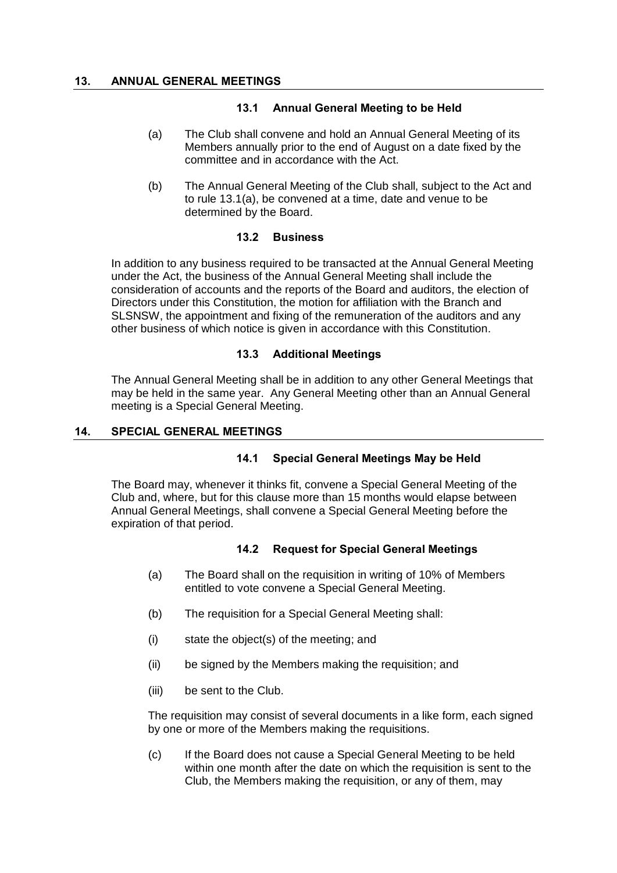## **13.1 Annual General Meeting to be Held**

- <span id="page-17-7"></span><span id="page-17-1"></span><span id="page-17-0"></span>(a) The Club shall convene and hold an Annual General Meeting of its Members annually prior to the end of August on a date fixed by the committee and in accordance with the Act.
- (b) The Annual General Meeting of the Club shall, subject to the Act and to rule [13.1\(a\),](#page-17-7) be convened at a time, date and venue to be determined by the Board.

#### **13.2 Business**

<span id="page-17-2"></span>In addition to any business required to be transacted at the Annual General Meeting under the Act, the business of the Annual General Meeting shall include the consideration of accounts and the reports of the Board and auditors, the election of Directors under this Constitution, the motion for affiliation with the Branch and SLSNSW, the appointment and fixing of the remuneration of the auditors and any other business of which notice is given in accordance with this Constitution.

#### **13.3 Additional Meetings**

<span id="page-17-3"></span>The Annual General Meeting shall be in addition to any other General Meetings that may be held in the same year. Any General Meeting other than an Annual General meeting is a Special General Meeting.

## <span id="page-17-5"></span><span id="page-17-4"></span>**14. SPECIAL GENERAL MEETINGS**

## **14.1 Special General Meetings May be Held**

<span id="page-17-6"></span>The Board may, whenever it thinks fit, convene a Special General Meeting of the Club and, where, but for this clause more than 15 months would elapse between Annual General Meetings, shall convene a Special General Meeting before the expiration of that period.

## **14.2 Request for Special General Meetings**

- (a) The Board shall on the requisition in writing of 10% of Members entitled to vote convene a Special General Meeting.
- (b) The requisition for a Special General Meeting shall:
- (i) state the object(s) of the meeting; and
- (ii) be signed by the Members making the requisition; and
- (iii) be sent to the Club.

The requisition may consist of several documents in a like form, each signed by one or more of the Members making the requisitions.

(c) If the Board does not cause a Special General Meeting to be held within one month after the date on which the requisition is sent to the Club, the Members making the requisition, or any of them, may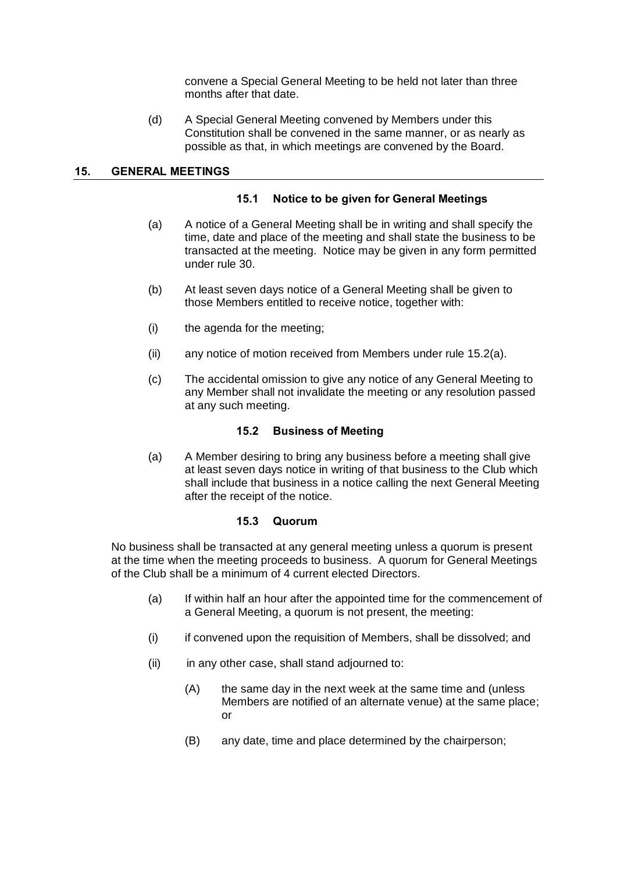convene a Special General Meeting to be held not later than three months after that date.

(d) A Special General Meeting convened by Members under this Constitution shall be convened in the same manner, or as nearly as possible as that, in which meetings are convened by the Board.

#### <span id="page-18-1"></span><span id="page-18-0"></span>**15. GENERAL MEETINGS**

#### **15.1 Notice to be given for General Meetings**

- (a) A notice of a General Meeting shall be in writing and shall specify the time, date and place of the meeting and shall state the business to be transacted at the meeting. Notice may be given in any form permitted under rule 30.
- (b) At least seven days notice of a General Meeting shall be given to those Members entitled to receive notice, together with:
- (i) the agenda for the meeting;
- (ii) any notice of motion received from Members under rule [15.2\(a\).](#page-18-4)
- (c) The accidental omission to give any notice of any General Meeting to any Member shall not invalidate the meeting or any resolution passed at any such meeting.

#### **15.2 Business of Meeting**

<span id="page-18-4"></span><span id="page-18-2"></span>(a) A Member desiring to bring any business before a meeting shall give at least seven days notice in writing of that business to the Club which shall include that business in a notice calling the next General Meeting after the receipt of the notice.

#### **15.3 Quorum**

<span id="page-18-3"></span>No business shall be transacted at any general meeting unless a quorum is present at the time when the meeting proceeds to business. A quorum for General Meetings of the Club shall be a minimum of 4 current elected Directors.

- (a) If within half an hour after the appointed time for the commencement of a General Meeting, a quorum is not present, the meeting:
- (i) if convened upon the requisition of Members, shall be dissolved; and
- (ii) in any other case, shall stand adjourned to:
	- (A) the same day in the next week at the same time and (unless Members are notified of an alternate venue) at the same place; or
	- (B) any date, time and place determined by the chairperson;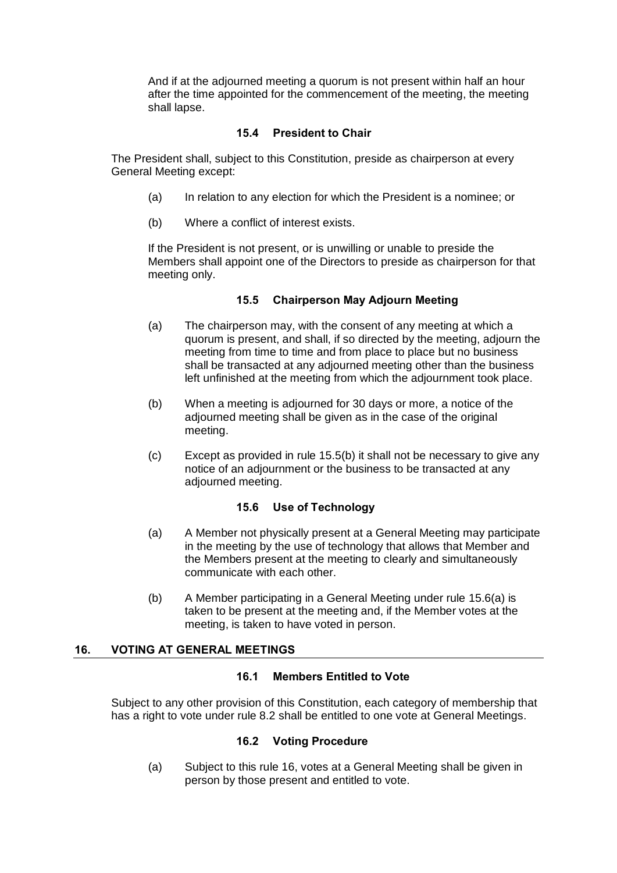And if at the adjourned meeting a quorum is not present within half an hour after the time appointed for the commencement of the meeting, the meeting shall lapse.

## **15.4 President to Chair**

<span id="page-19-0"></span>The President shall, subject to this Constitution, preside as chairperson at every General Meeting except:

- (a) In relation to any election for which the President is a nominee; or
- (b) Where a conflict of interest exists.

If the President is not present, or is unwilling or unable to preside the Members shall appoint one of the Directors to preside as chairperson for that meeting only.

## **15.5 Chairperson May Adjourn Meeting**

- <span id="page-19-1"></span>(a) The chairperson may, with the consent of any meeting at which a quorum is present, and shall, if so directed by the meeting, adjourn the meeting from time to time and from place to place but no business shall be transacted at any adjourned meeting other than the business left unfinished at the meeting from which the adjournment took place.
- <span id="page-19-6"></span>(b) When a meeting is adjourned for 30 days or more, a notice of the adjourned meeting shall be given as in the case of the original meeting.
- (c) Except as provided in rule [15.5\(b\)](#page-19-6) it shall not be necessary to give any notice of an adjournment or the business to be transacted at any adjourned meeting.

## **15.6 Use of Technology**

- <span id="page-19-7"></span><span id="page-19-2"></span>(a) A Member not physically present at a General Meeting may participate in the meeting by the use of technology that allows that Member and the Members present at the meeting to clearly and simultaneously communicate with each other.
- (b) A Member participating in a General Meeting under rule [15.6\(a\)](#page-19-7) is taken to be present at the meeting and, if the Member votes at the meeting, is taken to have voted in person.

## <span id="page-19-4"></span><span id="page-19-3"></span>**16. VOTING AT GENERAL MEETINGS**

## **16.1 Members Entitled to Vote**

<span id="page-19-5"></span>Subject to any other provision of this Constitution, each category of membership that has a right to vote under rule 8.2 shall be entitled to one vote at General Meetings.

## **16.2 Voting Procedure**

(a) Subject to this rule [16,](#page-19-3) votes at a General Meeting shall be given in person by those present and entitled to vote.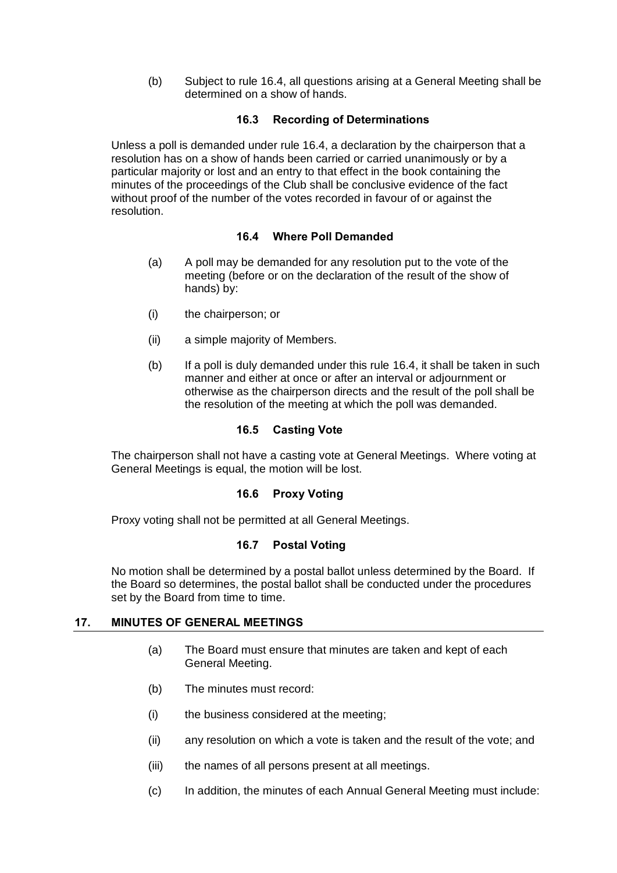(b) Subject to rule [16.4,](#page-20-1) all questions arising at a General Meeting shall be determined on a show of hands.

## **16.3 Recording of Determinations**

<span id="page-20-0"></span>Unless a poll is demanded under rule [16.4,](#page-20-1) a declaration by the chairperson that a resolution has on a show of hands been carried or carried unanimously or by a particular majority or lost and an entry to that effect in the book containing the minutes of the proceedings of the Club shall be conclusive evidence of the fact without proof of the number of the votes recorded in favour of or against the resolution.

## **16.4 Where Poll Demanded**

- <span id="page-20-1"></span>(a) A poll may be demanded for any resolution put to the vote of the meeting (before or on the declaration of the result of the show of hands) by:
- (i) the chairperson; or
- (ii) a simple majority of Members.
- (b) If a poll is duly demanded under this rule [16.4,](#page-20-1) it shall be taken in such manner and either at once or after an interval or adjournment or otherwise as the chairperson directs and the result of the poll shall be the resolution of the meeting at which the poll was demanded.

## **16.5 Casting Vote**

<span id="page-20-2"></span>The chairperson shall not have a casting vote at General Meetings. Where voting at General Meetings is equal, the motion will be lost.

## **16.6 Proxy Voting**

<span id="page-20-4"></span><span id="page-20-3"></span>Proxy voting shall not be permitted at all General Meetings.

## **16.7 Postal Voting**

No motion shall be determined by a postal ballot unless determined by the Board. If the Board so determines, the postal ballot shall be conducted under the procedures set by the Board from time to time.

## <span id="page-20-5"></span>**17. MINUTES OF GENERAL MEETINGS**

- (a) The Board must ensure that minutes are taken and kept of each General Meeting.
- (b) The minutes must record:
- (i) the business considered at the meeting;
- (ii) any resolution on which a vote is taken and the result of the vote; and
- (iii) the names of all persons present at all meetings.
- (c) In addition, the minutes of each Annual General Meeting must include: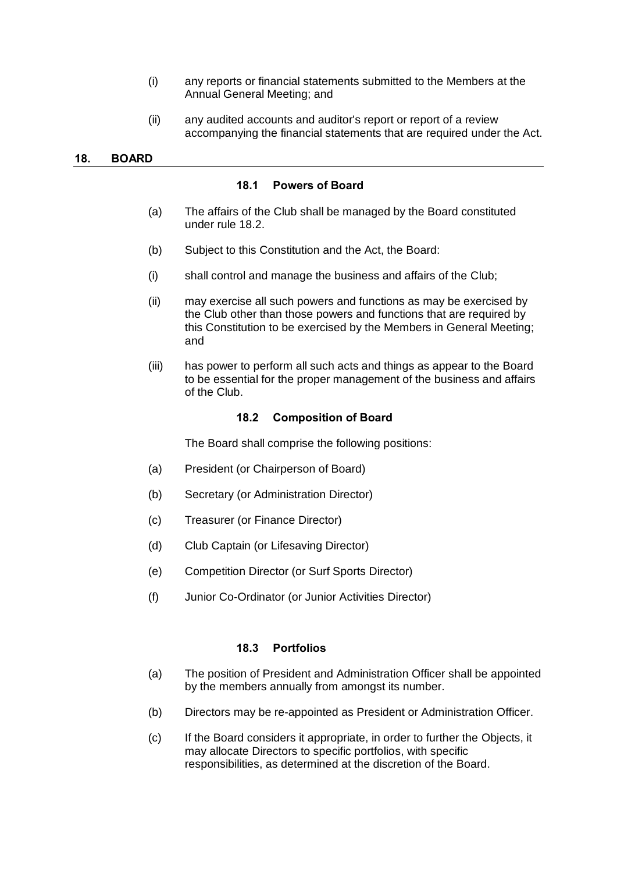- (i) any reports or financial statements submitted to the Members at the Annual General Meeting; and
- (ii) any audited accounts and auditor's report or report of a review accompanying the financial statements that are required under the Act.

#### <span id="page-21-4"></span><span id="page-21-1"></span><span id="page-21-0"></span>**18. BOARD**

#### **18.1 Powers of Board**

- (a) The affairs of the Club shall be managed by the Board constituted under rule [18.2.](#page-21-2)
- (b) Subject to this Constitution and the Act, the Board:
- (i) shall control and manage the business and affairs of the Club;
- (ii) may exercise all such powers and functions as may be exercised by the Club other than those powers and functions that are required by this Constitution to be exercised by the Members in General Meeting; and
- <span id="page-21-2"></span>(iii) has power to perform all such acts and things as appear to the Board to be essential for the proper management of the business and affairs of the Club.

#### **18.2 Composition of Board**

The Board shall comprise the following positions:

- (a) President (or Chairperson of Board)
- (b) Secretary (or Administration Director)
- (c) Treasurer (or Finance Director)
- (d) Club Captain (or Lifesaving Director)
- (e) Competition Director (or Surf Sports Director)
- (f) Junior Co-Ordinator (or Junior Activities Director)

#### **18.3 Portfolios**

- <span id="page-21-3"></span>(a) The position of President and Administration Officer shall be appointed by the members annually from amongst its number.
- (b) Directors may be re-appointed as President or Administration Officer.
- (c) If the Board considers it appropriate, in order to further the Objects, it may allocate Directors to specific portfolios, with specific responsibilities, as determined at the discretion of the Board.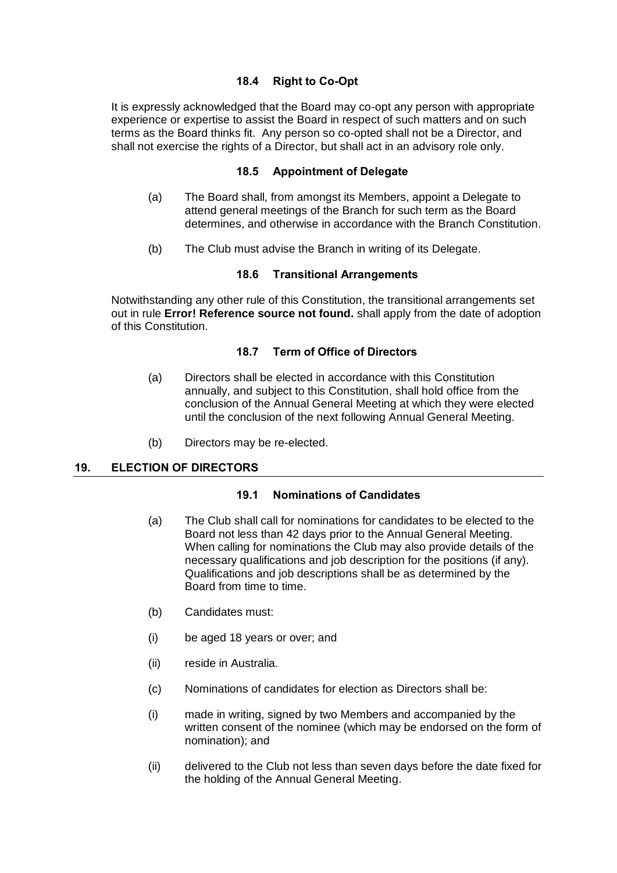## **18.4 Right to Co-Opt**

<span id="page-22-1"></span><span id="page-22-0"></span>It is expressly acknowledged that the Board may co-opt any person with appropriate experience or expertise to assist the Board in respect of such matters and on such terms as the Board thinks fit. Any person so co-opted shall not be a Director, and shall not exercise the rights of a Director, but shall act in an advisory role only.

## **18.5 Appointment of Delegate**

- (a) The Board shall, from amongst its Members, appoint a Delegate to attend general meetings of the Branch for such term as the Board determines, and otherwise in accordance with the Branch Constitution.
- (b) The Club must advise the Branch in writing of its Delegate.

## **18.6 Transitional Arrangements**

<span id="page-22-3"></span><span id="page-22-2"></span>Notwithstanding any other rule of this Constitution, the transitional arrangements set out in rule **Error! Reference source not found.** shall apply from the date of adoption of this Constitution.

## **18.7 Term of Office of Directors**

- (a) Directors shall be elected in accordance with this Constitution annually, and subject to this Constitution, shall hold office from the conclusion of the Annual General Meeting at which they were elected until the conclusion of the next following Annual General Meeting.
- (b) Directors may be re-elected.

## <span id="page-22-5"></span><span id="page-22-4"></span>**19. ELECTION OF DIRECTORS**

## **19.1 Nominations of Candidates**

- (a) The Club shall call for nominations for candidates to be elected to the Board not less than 42 days prior to the Annual General Meeting. When calling for nominations the Club may also provide details of the necessary qualifications and job description for the positions (if any). Qualifications and job descriptions shall be as determined by the Board from time to time.
- (b) Candidates must:
- (i) be aged 18 years or over; and
- (ii) reside in Australia.
- (c) Nominations of candidates for election as Directors shall be:
- (i) made in writing, signed by two Members and accompanied by the written consent of the nominee (which may be endorsed on the form of nomination); and
- (ii) delivered to the Club not less than seven days before the date fixed for the holding of the Annual General Meeting.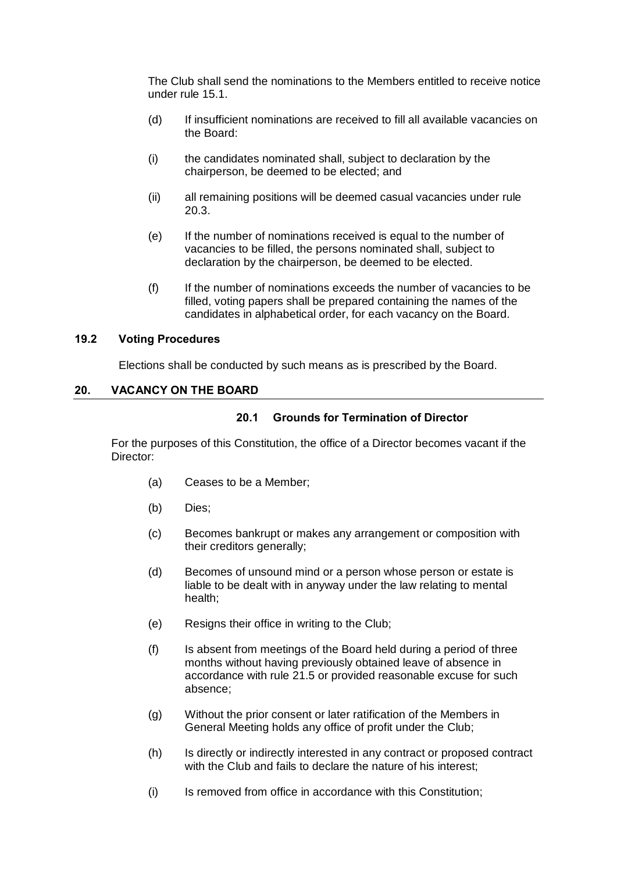The Club shall send the nominations to the Members entitled to receive notice under rule [15.1.](#page-18-1)

- (d) If insufficient nominations are received to fill all available vacancies on the Board:
- (i) the candidates nominated shall, subject to declaration by the chairperson, be deemed to be elected; and
- (ii) all remaining positions will be deemed casual vacancies under rule [20.3.](#page-24-1)
- (e) If the number of nominations received is equal to the number of vacancies to be filled, the persons nominated shall, subject to declaration by the chairperson, be deemed to be elected.
- (f) If the number of nominations exceeds the number of vacancies to be filled, voting papers shall be prepared containing the names of the candidates in alphabetical order, for each vacancy on the Board.

#### <span id="page-23-0"></span>**19.2 Voting Procedures**

Elections shall be conducted by such means as is prescribed by the Board.

#### <span id="page-23-2"></span><span id="page-23-1"></span>**20. VACANCY ON THE BOARD**

## **20.1 Grounds for Termination of Director**

For the purposes of this Constitution, the office of a Director becomes vacant if the Director:

- (a) Ceases to be a Member;
- (b) Dies;
- (c) Becomes bankrupt or makes any arrangement or composition with their creditors generally;
- (d) Becomes of unsound mind or a person whose person or estate is liable to be dealt with in anyway under the law relating to mental health;
- (e) Resigns their office in writing to the Club;
- (f) Is absent from meetings of the Board held during a period of three months without having previously obtained leave of absence in accordance with rule [21.5](#page-26-0) or provided reasonable excuse for such absence;
- (g) Without the prior consent or later ratification of the Members in General Meeting holds any office of profit under the Club;
- (h) Is directly or indirectly interested in any contract or proposed contract with the Club and fails to declare the nature of his interest;
- (i) Is removed from office in accordance with this Constitution;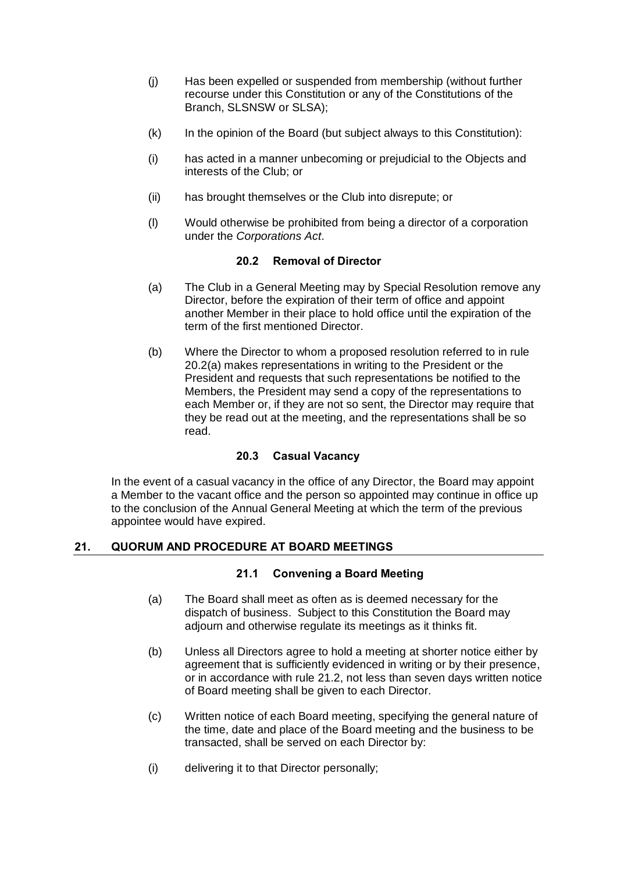- (j) Has been expelled or suspended from membership (without further recourse under this Constitution or any of the Constitutions of the Branch, SLSNSW or SLSA);
- $(k)$  In the opinion of the Board (but subject always to this Constitution):
- (i) has acted in a manner unbecoming or prejudicial to the Objects and interests of the Club; or
- (ii) has brought themselves or the Club into disrepute; or
- (l) Would otherwise be prohibited from being a director of a corporation under the *Corporations Act*.

## **20.2 Removal of Director**

- <span id="page-24-4"></span><span id="page-24-0"></span>(a) The Club in a General Meeting may by Special Resolution remove any Director, before the expiration of their term of office and appoint another Member in their place to hold office until the expiration of the term of the first mentioned Director.
- (b) Where the Director to whom a proposed resolution referred to in rule [20.2](#page-24-0)[\(a\)](#page-24-4) makes representations in writing to the President or the President and requests that such representations be notified to the Members, the President may send a copy of the representations to each Member or, if they are not so sent, the Director may require that they be read out at the meeting, and the representations shall be so read.

## **20.3 Casual Vacancy**

<span id="page-24-1"></span>In the event of a casual vacancy in the office of any Director, the Board may appoint a Member to the vacant office and the person so appointed may continue in office up to the conclusion of the Annual General Meeting at which the term of the previous appointee would have expired.

## <span id="page-24-3"></span><span id="page-24-2"></span>**21. QUORUM AND PROCEDURE AT BOARD MEETINGS**

## **21.1 Convening a Board Meeting**

- (a) The Board shall meet as often as is deemed necessary for the dispatch of business. Subject to this Constitution the Board may adjourn and otherwise regulate its meetings as it thinks fit.
- (b) Unless all Directors agree to hold a meeting at shorter notice either by agreement that is sufficiently evidenced in writing or by their presence, or in accordance with rule [21.2,](#page-25-0) not less than seven days written notice of Board meeting shall be given to each Director.
- (c) Written notice of each Board meeting, specifying the general nature of the time, date and place of the Board meeting and the business to be transacted, shall be served on each Director by:
- (i) delivering it to that Director personally;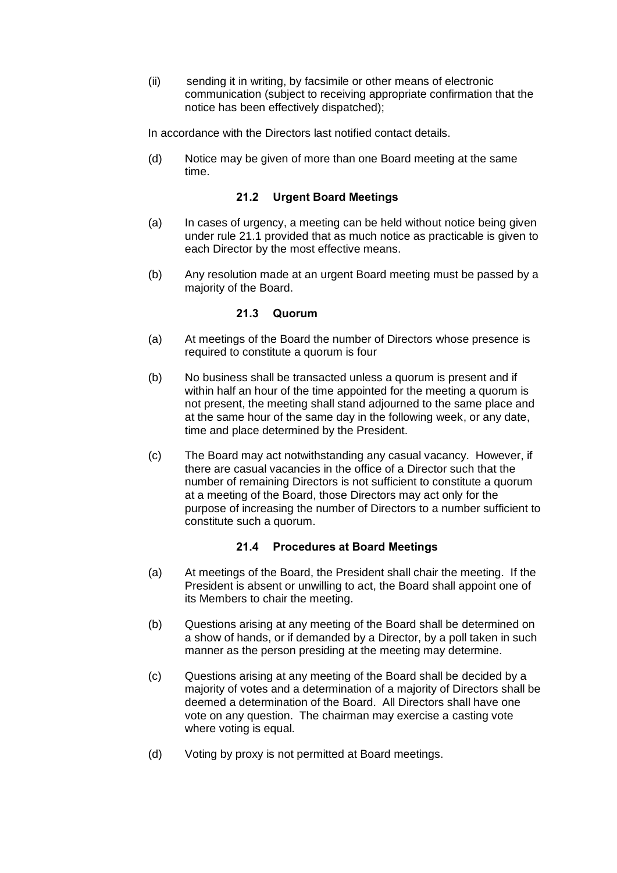- (ii) sending it in writing, by facsimile or other means of electronic communication (subject to receiving appropriate confirmation that the notice has been effectively dispatched);
- In accordance with the Directors last notified contact details.
- (d) Notice may be given of more than one Board meeting at the same time.

#### **21.2 Urgent Board Meetings**

- <span id="page-25-0"></span>(a) In cases of urgency, a meeting can be held without notice being given under rule [21.1](#page-24-3) provided that as much notice as practicable is given to each Director by the most effective means.
- (b) Any resolution made at an urgent Board meeting must be passed by a majority of the Board.

#### **21.3 Quorum**

- <span id="page-25-1"></span>(a) At meetings of the Board the number of Directors whose presence is required to constitute a quorum is four
- (b) No business shall be transacted unless a quorum is present and if within half an hour of the time appointed for the meeting a quorum is not present, the meeting shall stand adjourned to the same place and at the same hour of the same day in the following week, or any date, time and place determined by the President.
- (c) The Board may act notwithstanding any casual vacancy. However, if there are casual vacancies in the office of a Director such that the number of remaining Directors is not sufficient to constitute a quorum at a meeting of the Board, those Directors may act only for the purpose of increasing the number of Directors to a number sufficient to constitute such a quorum.

## **21.4 Procedures at Board Meetings**

- <span id="page-25-2"></span>(a) At meetings of the Board, the President shall chair the meeting. If the President is absent or unwilling to act, the Board shall appoint one of its Members to chair the meeting.
- (b) Questions arising at any meeting of the Board shall be determined on a show of hands, or if demanded by a Director, by a poll taken in such manner as the person presiding at the meeting may determine.
- (c) Questions arising at any meeting of the Board shall be decided by a majority of votes and a determination of a majority of Directors shall be deemed a determination of the Board. All Directors shall have one vote on any question. The chairman may exercise a casting vote where voting is equal.
- (d) Voting by proxy is not permitted at Board meetings.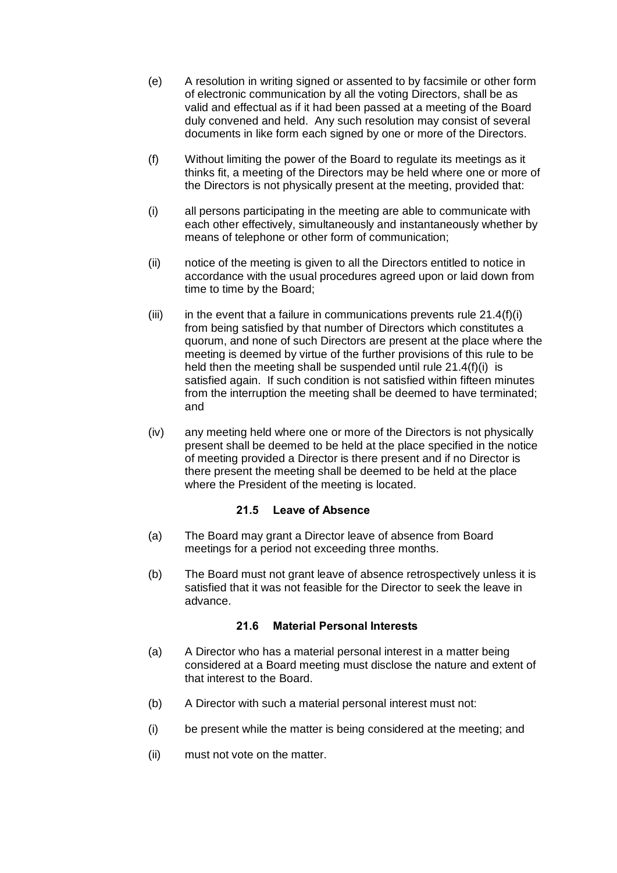- (e) A resolution in writing signed or assented to by facsimile or other form of electronic communication by all the voting Directors, shall be as valid and effectual as if it had been passed at a meeting of the Board duly convened and held. Any such resolution may consist of several documents in like form each signed by one or more of the Directors.
- (f) Without limiting the power of the Board to regulate its meetings as it thinks fit, a meeting of the Directors may be held where one or more of the Directors is not physically present at the meeting, provided that:
- <span id="page-26-2"></span>(i) all persons participating in the meeting are able to communicate with each other effectively, simultaneously and instantaneously whether by means of telephone or other form of communication;
- (ii) notice of the meeting is given to all the Directors entitled to notice in accordance with the usual procedures agreed upon or laid down from time to time by the Board;
- (iii) in the event that a failure in communications prevents rule  $21.4(f)(i)$ from being satisfied by that number of Directors which constitutes a quorum, and none of such Directors are present at the place where the meeting is deemed by virtue of the further provisions of this rule to be held then the meeting shall be suspended until rule [21.4\(f\)\(i\)](#page-26-2) is satisfied again. If such condition is not satisfied within fifteen minutes from the interruption the meeting shall be deemed to have terminated; and
- (iv) any meeting held where one or more of the Directors is not physically present shall be deemed to be held at the place specified in the notice of meeting provided a Director is there present and if no Director is there present the meeting shall be deemed to be held at the place where the President of the meeting is located.

## **21.5 Leave of Absence**

- <span id="page-26-0"></span>(a) The Board may grant a Director leave of absence from Board meetings for a period not exceeding three months.
- (b) The Board must not grant leave of absence retrospectively unless it is satisfied that it was not feasible for the Director to seek the leave in advance.

## **21.6 Material Personal Interests**

- <span id="page-26-1"></span>(a) A Director who has a material personal interest in a matter being considered at a Board meeting must disclose the nature and extent of that interest to the Board.
- (b) A Director with such a material personal interest must not:
- (i) be present while the matter is being considered at the meeting; and
- (ii) must not vote on the matter.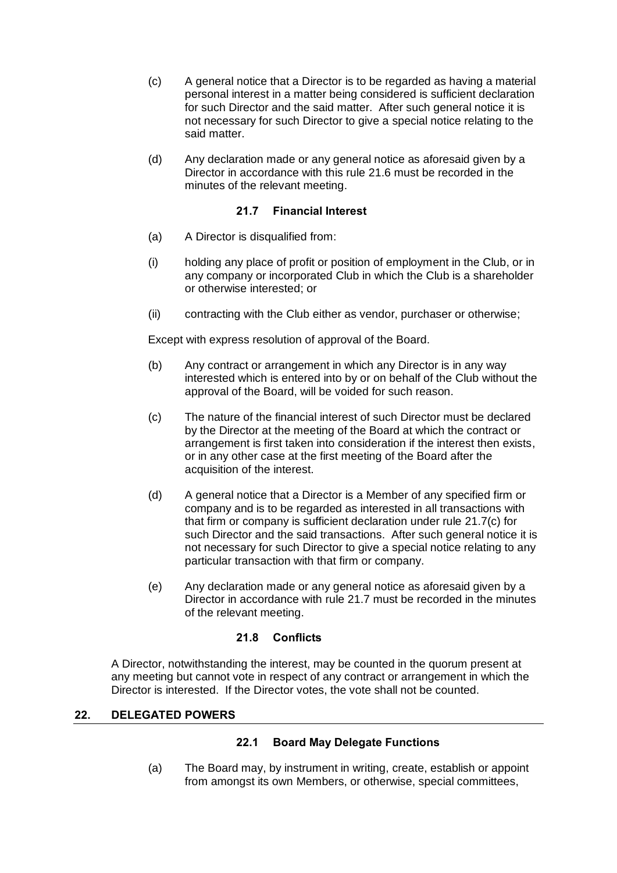- (c) A general notice that a Director is to be regarded as having a material personal interest in a matter being considered is sufficient declaration for such Director and the said matter. After such general notice it is not necessary for such Director to give a special notice relating to the said matter.
- (d) Any declaration made or any general notice as aforesaid given by a Director in accordance with this rule [21.6](#page-26-1) must be recorded in the minutes of the relevant meeting.

## **21.7 Financial Interest**

- <span id="page-27-0"></span>(a) A Director is disqualified from:
- (i) holding any place of profit or position of employment in the Club, or in any company or incorporated Club in which the Club is a shareholder or otherwise interested; or
- (ii) contracting with the Club either as vendor, purchaser or otherwise;

Except with express resolution of approval of the Board.

- (b) Any contract or arrangement in which any Director is in any way interested which is entered into by or on behalf of the Club without the approval of the Board, will be voided for such reason.
- <span id="page-27-4"></span>(c) The nature of the financial interest of such Director must be declared by the Director at the meeting of the Board at which the contract or arrangement is first taken into consideration if the interest then exists, or in any other case at the first meeting of the Board after the acquisition of the interest.
- (d) A general notice that a Director is a Member of any specified firm or company and is to be regarded as interested in all transactions with that firm or company is sufficient declaration under rule [21.7\(c\)](#page-27-4) for such Director and the said transactions. After such general notice it is not necessary for such Director to give a special notice relating to any particular transaction with that firm or company.
- (e) Any declaration made or any general notice as aforesaid given by a Director in accordance with rule [21.7](#page-27-0) must be recorded in the minutes of the relevant meeting.

## **21.8 Conflicts**

<span id="page-27-1"></span>A Director, notwithstanding the interest, may be counted in the quorum present at any meeting but cannot vote in respect of any contract or arrangement in which the Director is interested. If the Director votes, the vote shall not be counted.

## <span id="page-27-3"></span><span id="page-27-2"></span>**22. DELEGATED POWERS**

## **22.1 Board May Delegate Functions**

(a) The Board may, by instrument in writing, create, establish or appoint from amongst its own Members, or otherwise, special committees,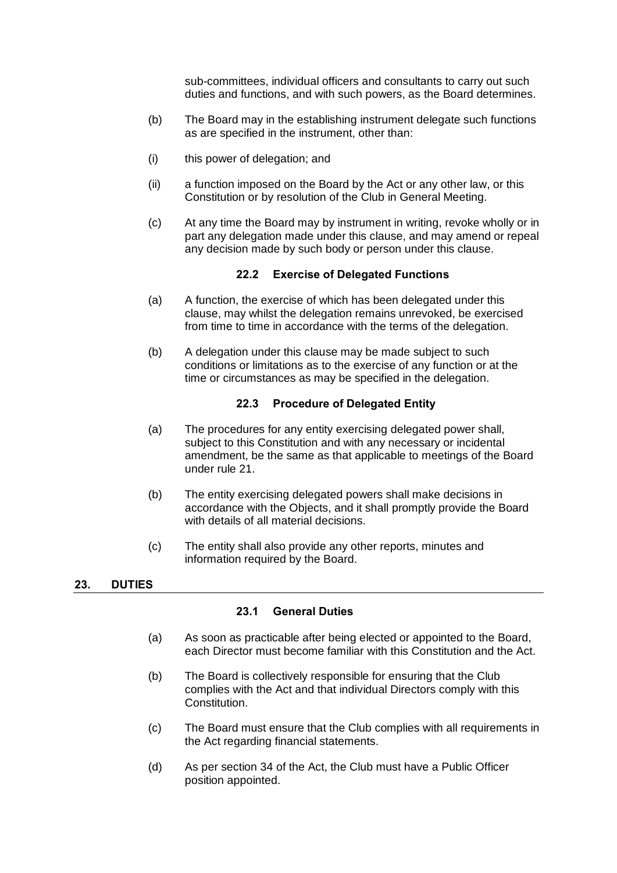sub-committees, individual officers and consultants to carry out such duties and functions, and with such powers, as the Board determines.

- (b) The Board may in the establishing instrument delegate such functions as are specified in the instrument, other than:
- (i) this power of delegation; and
- (ii) a function imposed on the Board by the Act or any other law, or this Constitution or by resolution of the Club in General Meeting.
- (c) At any time the Board may by instrument in writing, revoke wholly or in part any delegation made under this clause, and may amend or repeal any decision made by such body or person under this clause.

#### **22.2 Exercise of Delegated Functions**

- <span id="page-28-0"></span>(a) A function, the exercise of which has been delegated under this clause, may whilst the delegation remains unrevoked, be exercised from time to time in accordance with the terms of the delegation.
- (b) A delegation under this clause may be made subject to such conditions or limitations as to the exercise of any function or at the time or circumstances as may be specified in the delegation.

## **22.3 Procedure of Delegated Entity**

- <span id="page-28-1"></span>(a) The procedures for any entity exercising delegated power shall, subject to this Constitution and with any necessary or incidental amendment, be the same as that applicable to meetings of the Board under rule [21.](#page-24-2)
- (b) The entity exercising delegated powers shall make decisions in accordance with the Objects, and it shall promptly provide the Board with details of all material decisions.
- (c) The entity shall also provide any other reports, minutes and information required by the Board.

#### <span id="page-28-3"></span><span id="page-28-2"></span>**23. DUTIES**

#### **23.1 General Duties**

- (a) As soon as practicable after being elected or appointed to the Board, each Director must become familiar with this Constitution and the Act.
- (b) The Board is collectively responsible for ensuring that the Club complies with the Act and that individual Directors comply with this Constitution.
- (c) The Board must ensure that the Club complies with all requirements in the Act regarding financial statements.
- (d) As per section 34 of the Act, the Club must have a Public Officer position appointed.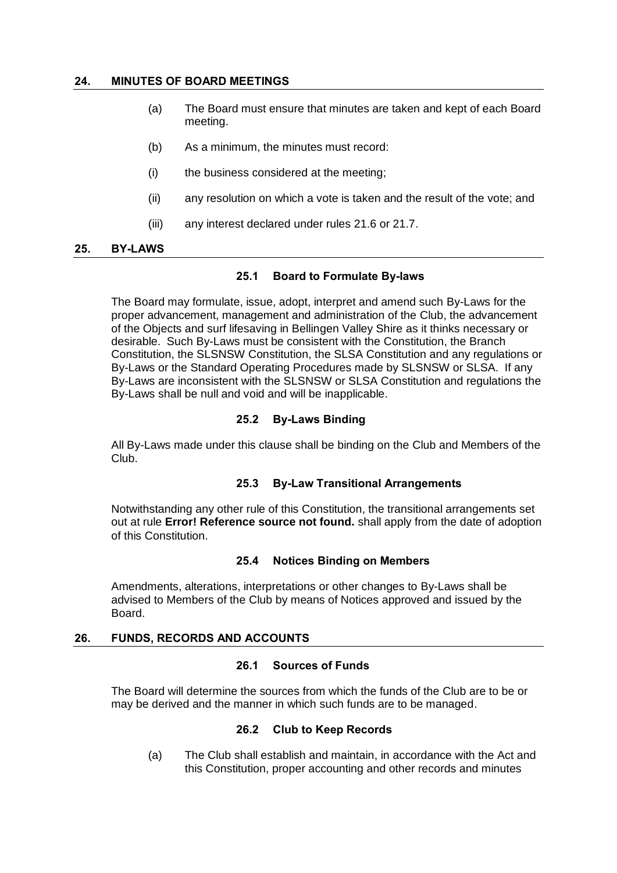#### <span id="page-29-0"></span>**24. MINUTES OF BOARD MEETINGS**

- (a) The Board must ensure that minutes are taken and kept of each Board meeting.
- (b) As a minimum, the minutes must record:
- (i) the business considered at the meeting;
- (ii) any resolution on which a vote is taken and the result of the vote; and
- (iii) any interest declared under rules [21.6](#page-26-1) or [21.7.](#page-27-0)

#### <span id="page-29-2"></span><span id="page-29-1"></span>**25. BY-LAWS**

#### **25.1 Board to Formulate By-laws**

The Board may formulate, issue, adopt, interpret and amend such By-Laws for the proper advancement, management and administration of the Club, the advancement of the Objects and surf lifesaving in Bellingen Valley Shire as it thinks necessary or desirable. Such By-Laws must be consistent with the Constitution, the Branch Constitution, the SLSNSW Constitution, the SLSA Constitution and any regulations or By-Laws or the Standard Operating Procedures made by SLSNSW or SLSA. If any By-Laws are inconsistent with the SLSNSW or SLSA Constitution and regulations the By-Laws shall be null and void and will be inapplicable.

#### **25.2 By-Laws Binding**

<span id="page-29-3"></span>All By-Laws made under this clause shall be binding on the Club and Members of the Club.

#### **25.3 By-Law Transitional Arrangements**

<span id="page-29-4"></span>Notwithstanding any other rule of this Constitution, the transitional arrangements set out at rule **Error! Reference source not found.** shall apply from the date of adoption of this Constitution.

#### **25.4 Notices Binding on Members**

<span id="page-29-5"></span>Amendments, alterations, interpretations or other changes to By-Laws shall be advised to Members of the Club by means of Notices approved and issued by the Board.

#### <span id="page-29-7"></span><span id="page-29-6"></span>**26. FUNDS, RECORDS AND ACCOUNTS**

## **26.1 Sources of Funds**

<span id="page-29-8"></span>The Board will determine the sources from which the funds of the Club are to be or may be derived and the manner in which such funds are to be managed.

#### **26.2 Club to Keep Records**

(a) The Club shall establish and maintain, in accordance with the Act and this Constitution, proper accounting and other records and minutes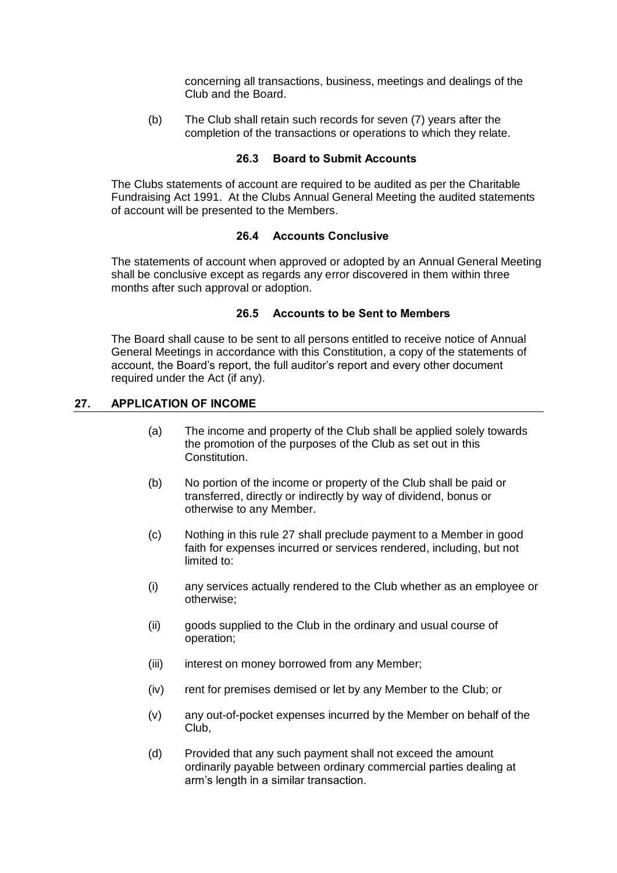concerning all transactions, business, meetings and dealings of the Club and the Board.

(b) The Club shall retain such records for seven (7) years after the completion of the transactions or operations to which they relate.

#### **26.3 Board to Submit Accounts**

<span id="page-30-0"></span>The Clubs statements of account are required to be audited as per the Charitable Fundraising Act 1991. At the Clubs Annual General Meeting the audited statements of account will be presented to the Members.

#### **26.4 Accounts Conclusive**

<span id="page-30-1"></span>The statements of account when approved or adopted by an Annual General Meeting shall be conclusive except as regards any error discovered in them within three months after such approval or adoption.

## **26.5 Accounts to be Sent to Members**

<span id="page-30-2"></span>The Board shall cause to be sent to all persons entitled to receive notice of Annual General Meetings in accordance with this Constitution, a copy of the statements of account, the Board's report, the full auditor's report and every other document required under the Act (if any).

#### <span id="page-30-3"></span>**27. APPLICATION OF INCOME**

- (a) The income and property of the Club shall be applied solely towards the promotion of the purposes of the Club as set out in this Constitution.
- (b) No portion of the income or property of the Club shall be paid or transferred, directly or indirectly by way of dividend, bonus or otherwise to any Member.
- (c) Nothing in this rule 27 shall preclude payment to a Member in good faith for expenses incurred or services rendered, including, but not limited to:
- (i) any services actually rendered to the Club whether as an employee or otherwise;
- (ii) goods supplied to the Club in the ordinary and usual course of operation;
- (iii) interest on money borrowed from any Member;
- (iv) rent for premises demised or let by any Member to the Club; or
- (v) any out-of-pocket expenses incurred by the Member on behalf of the Club,
- (d) Provided that any such payment shall not exceed the amount ordinarily payable between ordinary commercial parties dealing at arm's length in a similar transaction.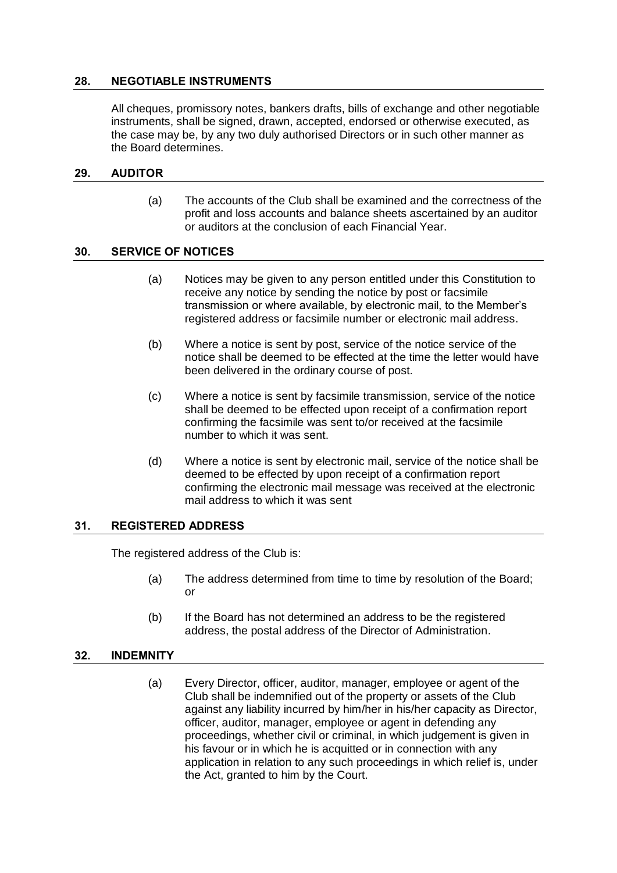## <span id="page-31-0"></span>**28. NEGOTIABLE INSTRUMENTS**

All cheques, promissory notes, bankers drafts, bills of exchange and other negotiable instruments, shall be signed, drawn, accepted, endorsed or otherwise executed, as the case may be, by any two duly authorised Directors or in such other manner as the Board determines.

#### <span id="page-31-1"></span>**29. AUDITOR**

(a) The accounts of the Club shall be examined and the correctness of the profit and loss accounts and balance sheets ascertained by an auditor or auditors at the conclusion of each Financial Year.

#### <span id="page-31-2"></span>**30. SERVICE OF NOTICES**

- (a) Notices may be given to any person entitled under this Constitution to receive any notice by sending the notice by post or facsimile transmission or where available, by electronic mail, to the Member's registered address or facsimile number or electronic mail address.
- (b) Where a notice is sent by post, service of the notice service of the notice shall be deemed to be effected at the time the letter would have been delivered in the ordinary course of post.
- (c) Where a notice is sent by facsimile transmission, service of the notice shall be deemed to be effected upon receipt of a confirmation report confirming the facsimile was sent to/or received at the facsimile number to which it was sent.
- (d) Where a notice is sent by electronic mail, service of the notice shall be deemed to be effected by upon receipt of a confirmation report confirming the electronic mail message was received at the electronic mail address to which it was sent

#### <span id="page-31-3"></span>**31. REGISTERED ADDRESS**

The registered address of the Club is:

- (a) The address determined from time to time by resolution of the Board; or
- (b) If the Board has not determined an address to be the registered address, the postal address of the Director of Administration.

#### <span id="page-31-4"></span>**32. INDEMNITY**

(a) Every Director, officer, auditor, manager, employee or agent of the Club shall be indemnified out of the property or assets of the Club against any liability incurred by him/her in his/her capacity as Director, officer, auditor, manager, employee or agent in defending any proceedings, whether civil or criminal, in which judgement is given in his favour or in which he is acquitted or in connection with any application in relation to any such proceedings in which relief is, under the Act, granted to him by the Court.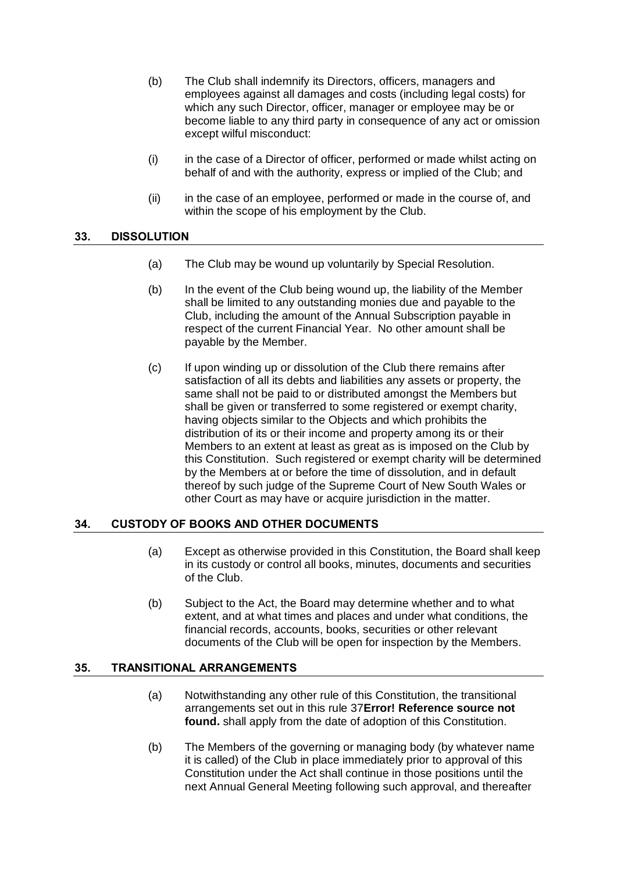- (b) The Club shall indemnify its Directors, officers, managers and employees against all damages and costs (including legal costs) for which any such Director, officer, manager or employee may be or become liable to any third party in consequence of any act or omission except wilful misconduct:
- (i) in the case of a Director of officer, performed or made whilst acting on behalf of and with the authority, express or implied of the Club; and
- (ii) in the case of an employee, performed or made in the course of, and within the scope of his employment by the Club.

#### <span id="page-32-0"></span>**33. DISSOLUTION**

- (a) The Club may be wound up voluntarily by Special Resolution.
- (b) In the event of the Club being wound up, the liability of the Member shall be limited to any outstanding monies due and payable to the Club, including the amount of the Annual Subscription payable in respect of the current Financial Year. No other amount shall be payable by the Member.
- (c) If upon winding up or dissolution of the Club there remains after satisfaction of all its debts and liabilities any assets or property, the same shall not be paid to or distributed amongst the Members but shall be given or transferred to some registered or exempt charity, having objects similar to the Objects and which prohibits the distribution of its or their income and property among its or their Members to an extent at least as great as is imposed on the Club by this Constitution. Such registered or exempt charity will be determined by the Members at or before the time of dissolution, and in default thereof by such judge of the Supreme Court of New South Wales or other Court as may have or acquire jurisdiction in the matter.

## <span id="page-32-1"></span>**34. CUSTODY OF BOOKS AND OTHER DOCUMENTS**

- (a) Except as otherwise provided in this Constitution, the Board shall keep in its custody or control all books, minutes, documents and securities of the Club.
- (b) Subject to the Act, the Board may determine whether and to what extent, and at what times and places and under what conditions, the financial records, accounts, books, securities or other relevant documents of the Club will be open for inspection by the Members.

## <span id="page-32-3"></span><span id="page-32-2"></span>**35. TRANSITIONAL ARRANGEMENTS**

- (a) Notwithstanding any other rule of this Constitution, the transitional arrangements set out in this rule 37**Error! Reference source not found.** shall apply from the date of adoption of this Constitution.
- (b) The Members of the governing or managing body (by whatever name it is called) of the Club in place immediately prior to approval of this Constitution under the Act shall continue in those positions until the next Annual General Meeting following such approval, and thereafter